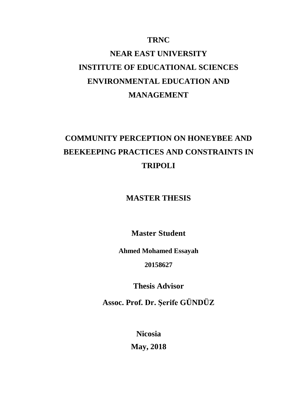## **TRNC**

# **NEAR EAST UNIVERSITY INSTITUTE OF EDUCATIONAL SCIENCES ENVIRONMENTAL EDUCATION AND MANAGEMENT**

# **COMMUNITY PERCEPTION ON HONEYBEE AND BEEKEEPING PRACTICES AND CONSTRAINTS IN TRIPOLI**

**MASTER THESIS**

**Master Student**

**Ahmed Mohamed Essayah**

**20158627**

**Thesis Advisor**

**Assoc. Prof. Dr. Şerife GÜNDÜZ** 

**Nicosia May, 2018**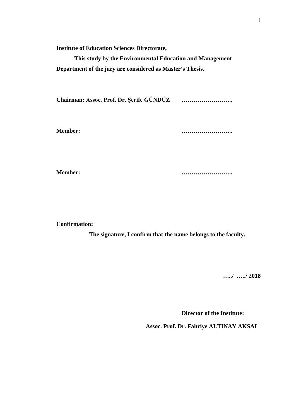**Institute of Education Sciences Directorate,**

**This study by the Environmental Education and Management Department of the jury are considered as Master's Thesis.**

**Chairman: Assoc. Prof. Dr. Şerife GÜNDÜZ ……………………..** 

**Member: ……………………..** 

**Member: ……………………..** 

**Confirmation:** 

**The signature, I confirm that the name belongs to the faculty.** 

**…../ …../ 2018** 

**Director of the Institute:**

**Assoc. Prof. Dr. Fahriye ALTINAY AKSAL**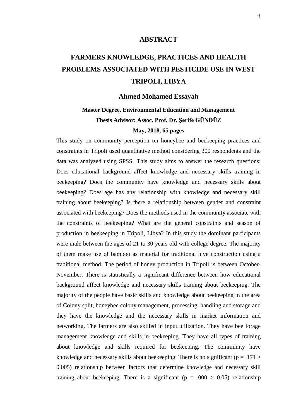### **ABSTRACT**

# <span id="page-2-0"></span>**FARMERS KNOWLEDGE, PRACTICES AND HEALTH PROBLEMS ASSOCIATED WITH PESTICIDE USE IN WEST TRIPOLI, LIBYA**

## **Ahmed Mohamed Essayah**

## **Master Degree, Environmental Education and Management Thesis Advisor: Assoc. Prof. Dr. Şerife GÜNDÜZ May, 2018, 65 pages**

This study on community perception on honeybee and beekeeping practices and constraints in Tripoli used quantitative method considering 300 respondents and the data was analyzed using SPSS. This study aims to answer the research questions; Does educational background affect knowledge and necessary skills training in beekeeping? Does the community have knowledge and necessary skills about beekeeping? Does age has any relationship with knowledge and necessary skill training about beekeeping? Is there a relationship between gender and constraint associated with beekeeping? Does the methods used in the community associate with the constraints of beekeeping? What are the general constraints and season of production in beekeeping in Tripoli, Libya? In this study the dominant participants were male between the ages of 21 to 30 years old with college degree. The majority of them make use of bamboo as material for traditional hive construction using a traditional method. The period of honey production in Tripoli is between October-November. There is statistically a significant difference between how educational background affect knowledge and necessary skills training about beekeeping. The majority of the people have basic skills and knowledge about beekeeping in the area of Colony split, honeybee colony management, processing, handling and storage and they have the knowledge and the necessary skills in market information and networking. The farmers are also skilled in input utilization. They have bee forage management knowledge and skills in beekeeping. They have all types of training about knowledge and skills required for beekeeping. The community have knowledge and necessary skills about beekeeping. There is no significant ( $p = .171 >$ 0.005) relationship between factors that determine knowledge and necessary skill training about beekeeping. There is a significant ( $p = .000 > 0.05$ ) relationship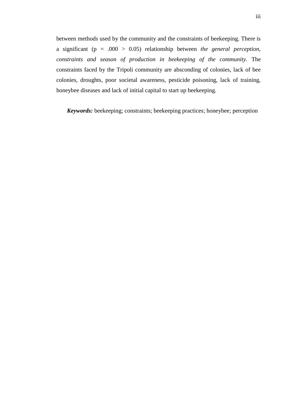between methods used by the community and the constraints of beekeeping. There is a significant (p = .000 > 0.05) relationship between *the general perception, constraints and season of production in beekeeping of the community.* The constraints faced by the Tripoli community are absconding of colonies, lack of bee colonies, droughts, poor societal awareness, pesticide poisoning, lack of training, honeybee diseases and lack of initial capital to start up beekeeping.

*Keywords:* beekeeping; constraints; beekeeping practices; honeybee; perception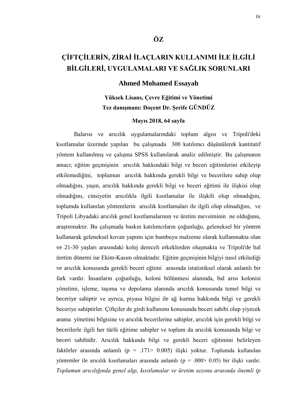## **ÇİFTÇİLERİN, ZİRAİ İLAÇLARIN KULLANIMI İLE İLGİLİ BİLGİLERİ, UYGULAMALARI VE SAĞLIK SORUNLARI**

**ÖZ**

## **Ahmed Mohamed Essayah**

## **Yüksek Lisans, Çevre Eğitimi ve Yönetimi Tez danışmanı: Doçent Dr. Şerife GÜNDÜZ**

#### **Mayıs 2018, 64 sayfa**

Balarısı ve arıcılık uygulamalarındaki toplum algısı ve Tripoli'deki kısıtlamalar üzerinde yapılan bu çalışmada 300 katılımcı düşünülerek kantitatif yöntem kullanılmış ve çalışma SPSS kullanılarak analiz edilmiştir. Bu çalışmanın amacı; eğitim geçmişinin arıcılık hakkındaki bilgi ve beceri eğitimlerini etkileyip etkilemediğini, toplumun arıcılık hakkında gerekli bilgi ve becerilere sahip olup olmadığını, yaşın, arıcılık hakkında gerekli bilgi ve beceri eğitimi ile ilişkisi olup olmadığını, cinsiyetin arıcılıkla ilgili kısıtlamalar ile ilişkili olup olmadığını, toplumda kullanılan yöntemlerin arıcılık kısıtlamaları ile ilgili olup olmadığını, ve Tripoli Libyadaki arıcılık genel kısıtlamalarının ve üretim mevsiminin ne olduğunu, araştırmaktır. Bu çalışmada baskın katılımcıların çoğunluğu, geleneksel bir yöntem kullanarak geleneksel kovan yapımı için bambuyu malzeme olarak kullanmakta olan ve 21-30 yaşları arasındaki kolej dereceli erkeklerden oluşmakta ve Tripoli'de bal üretim dönemi ise Ekim-Kasım olmaktadır. Eğitim geçmişinin bilgiyi nasıl etkilediği ve arıcılık konusunda gerekli beceri eğtimi arasında istatistiksel olarak anlamlı bir fark vardır. İnsanların çoğunluğu, koloni bölünmesi alanında, bal arısı kolonisi yönetimi, işleme, taşıma ve depolama alanında arıcılık konusunda temel bilgi ve beceriye sahiptir ve ayrıca, piyasa bilgisi ile ağ kurma hakkında bilgi ve gerekli beceriye sahiptirler. Çiftçiler de girdi kullanımı konusunda beceri sahibi olup yiyecek arama yönetimi bilgisine ve arıcılık becerilerine sahipler, arıcılık için gerekli bilgi ve becerilerle ilgili her türlü eğitime sahipler ve toplum da arıcılık konusunda bilgi ve beceri sahibidir. Arıcılık hakkında bilgi ve gerekli beceri eğitimini belirleyen faktörler arasında anlamlı (p = .171> 0.005) ilişki yoktur. Toplumda kullanılan yöntemler ile arıcılık kısıtlamaları arasında anlamlı (p = .000> 0.05) bir ilişki vardır. *Toplumun arıcılığında genel algı, kısıtlamalar ve üretim sezonu arasında önemli (p*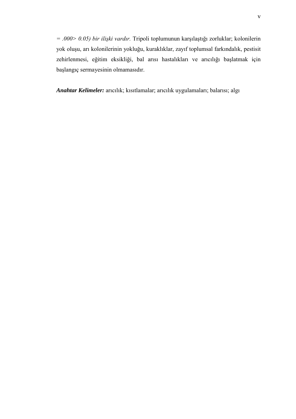*= .000> 0.05) bir ilişki vardır.* Tripoli toplumunun karşılaştığı zorluklar; kolonilerin yok oluşu, arı kolonilerinin yokluğu, kuraklıklar, zayıf toplumsal farkındalık, pestisit zehirlenmesi, eğitim eksikliği, bal arısı hastalıkları ve arıcılığı başlatmak için başlangıç sermayesinin olmamasıdır.

*Anahtar Kelimeler:* arıcılık; kısıtlamalar; arıcılık uygulamaları; balarısı; algı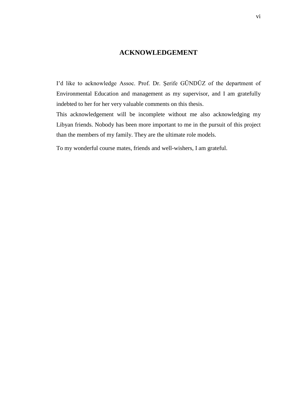## **ACKNOWLEDGEMENT**

<span id="page-6-0"></span>I'd like to acknowledge Assoc. Prof. Dr. Şerife GÜNDÜZ of the department of Environmental Education and management as my supervisor, and I am gratefully indebted to her for her very valuable comments on this thesis.

This acknowledgement will be incomplete without me also acknowledging my Libyan friends. Nobody has been more important to me in the pursuit of this project than the members of my family. They are the ultimate role models.

To my wonderful course mates, friends and well-wishers, I am grateful.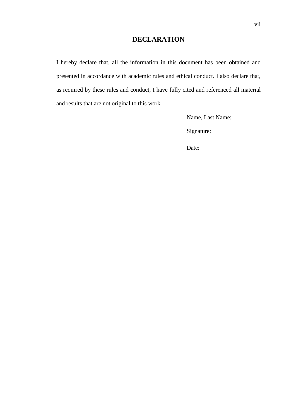## **DECLARATION**

I hereby declare that, all the information in this document has been obtained and presented in accordance with academic rules and ethical conduct. I also declare that, as required by these rules and conduct, I have fully cited and referenced all material and results that are not original to this work.

Name, Last Name:

Signature:

Date: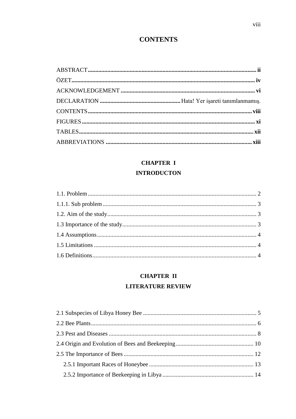## **CONTENTS**

<span id="page-8-0"></span>

## **CHAPTER I**

## **INTRODUCTON**

## **CHAPTER II**

## **LITERATURE REVIEW**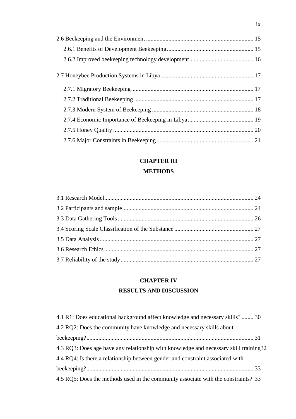## **[CHAPTER III](#page-37-0)**

## **[METHODS](#page-37-1)**

## **[CHAPTER IV](#page-42-0) [RESULTS AND DISCUSSION](#page-42-1)**

| 4.1 R1: Does educational background affect knowledge and necessary skills? 30          |  |
|----------------------------------------------------------------------------------------|--|
| 4.2 RQ2: Does the community have knowledge and necessary skills about                  |  |
|                                                                                        |  |
| 4.3 RQ3: Does age have any relationship with knowledge and necessary skill training 32 |  |
| 4.4 RQ4: Is there a relationship between gender and constraint associated with         |  |
|                                                                                        |  |
| 4.5 RQ5: Does the methods used in the community associate with the constraints? 33     |  |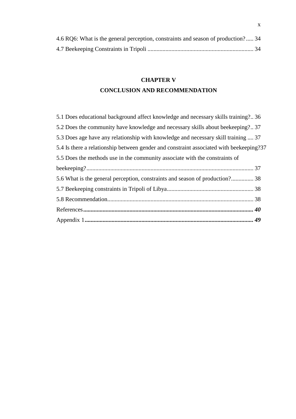| 4.6 RQ6: What is the general perception, constraints and season of production? 34 |  |  |
|-----------------------------------------------------------------------------------|--|--|
|                                                                                   |  |  |

## **[CHAPTER V](#page-49-0) [CONCLUSION AND RECOMMENDATION](#page-49-1)**

| 5.1 Does educational background affect knowledge and necessary skills training?36       |  |
|-----------------------------------------------------------------------------------------|--|
| 5.2 Does the community have knowledge and necessary skills about beekeeping?37          |  |
| 5.3 Does age have any relationship with knowledge and necessary skill training  37      |  |
| 5.4 Is there a relationship between gender and constraint associated with beekeeping?37 |  |
| 5.5 Does the methods use in the community associate with the constraints of             |  |
|                                                                                         |  |
| 5.6 What is the general perception, constraints and season of production? 38            |  |
|                                                                                         |  |
|                                                                                         |  |
|                                                                                         |  |
|                                                                                         |  |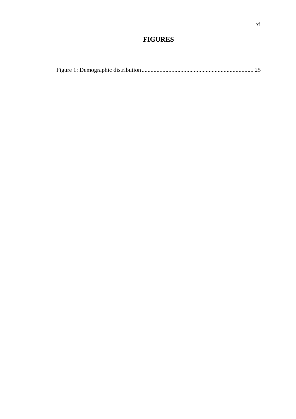## **FIGURES**

<span id="page-11-0"></span>

|--|--|--|--|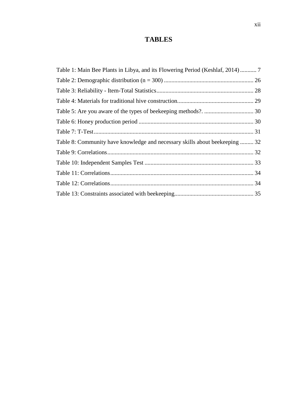## **TABLES**

<span id="page-12-0"></span>

| Table 1: Main Bee Plants in Libya, and its Flowering Period (Keshlaf, 2014) 7 |  |
|-------------------------------------------------------------------------------|--|
|                                                                               |  |
|                                                                               |  |
|                                                                               |  |
|                                                                               |  |
|                                                                               |  |
|                                                                               |  |
| Table 8: Community have knowledge and necessary skills about beekeeping  32   |  |
|                                                                               |  |
|                                                                               |  |
|                                                                               |  |
|                                                                               |  |
|                                                                               |  |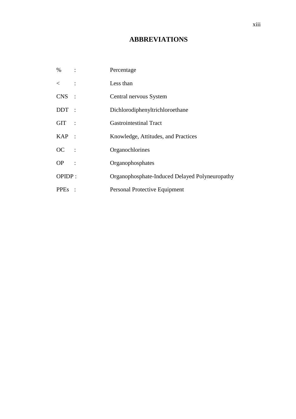## **ABBREVIATIONS**

<span id="page-13-0"></span>

| $\%$<br>$\sim$ $\sim$ $\sim$ $\sim$ $\sim$ $\sim$ | Percentage                                     |
|---------------------------------------------------|------------------------------------------------|
| $\lt$ :                                           | Less than                                      |
| $CNS$ :                                           | Central nervous System                         |
| $DDT$ :                                           | Dichlorodiphenyltrichloroethane                |
| GIT :                                             | <b>Gastrointestinal Tract</b>                  |
| $KAP$ :                                           | Knowledge, Attitudes, and Practices            |
| $OC$ :                                            | Organochlorines                                |
| $OP$ :                                            | Organophosphates                               |
| OPIDP:                                            | Organophosphate-Induced Delayed Polyneuropathy |
| <b>PPEs</b>                                       | Personal Protective Equipment                  |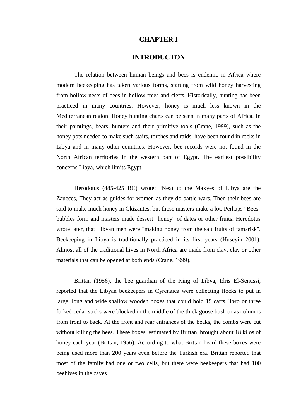## **CHAPTER I**

## **INTRODUCTON**

<span id="page-14-1"></span><span id="page-14-0"></span>The relation between human beings and bees is endemic in Africa where modern beekeeping has taken various forms, starting from wild honey harvesting from hollow nests of bees in hollow trees and clefts. Historically, hunting has been practiced in many countries. However, honey is much less known in the Mediterranean region. Honey hunting charts can be seen in many parts of Africa. In their paintings, bears, hunters and their primitive tools (Crane, 1999), such as the honey pots needed to make such stairs, torches and raids, have been found in rocks in Libya and in many other countries. However, bee records were not found in the North African territories in the western part of Egypt. The earliest possibility concerns Libya, which limits Egypt.

Herodotus (485-425 BC) wrote: "Next to the Maxyes of Libya are the Zaueces, They act as guides for women as they do battle wars. Then their bees are said to make much honey in Gkizantes, but those masters make a lot. Perhaps "Bees" bubbles form and masters made dessert "honey" of dates or other fruits. Herodotus wrote later, that Libyan men were "making honey from the salt fruits of tamarisk". Beekeeping in Libya is traditionally practiced in its first years (Huseyin 2001). Almost all of the traditional hives in North Africa are made from clay, clay or other materials that can be opened at both ends (Crane, 1999).

Brittan (1956), the bee guardian of the King of Libya, Idris El-Senussi, reported that the Libyan beekeepers in Cyrenaica were collecting flocks to put in large, long and wide shallow wooden boxes that could hold 15 carts. Two or three forked cedar sticks were blocked in the middle of the thick goose bush or as columns from front to back. At the front and rear entrances of the beaks, the combs were cut without killing the bees. These boxes, estimated by Brittan, brought about 18 kilos of honey each year (Brittan, 1956). According to what Brittan heard these boxes were being used more than 200 years even before the Turkish era. Brittan reported that most of the family had one or two cells, but there were beekeepers that had 100 beehives in the caves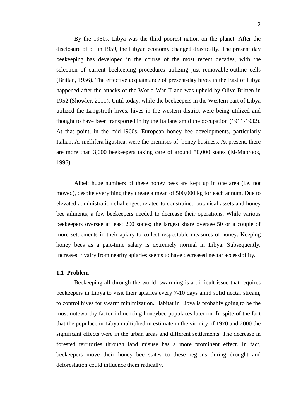By the 1950s, Libya was the third poorest nation on the planet. After the disclosure of oil in 1959, the Libyan economy changed drastically. The present day beekeeping has developed in the course of the most recent decades, with the selection of current beekeeping procedures utilizing just removable-outline cells (Brittan, 1956). The effective acquaintance of present-day hives in the East of Libya happened after the attacks of the World War II and was upheld by Olive Britten in 1952 (Showler, 2011). Until today, while the beekeepers in the Western part of Libya utilized the Langstroth hives, hives in the western district were being utilized and thought to have been transported in by the Italians amid the occupation (1911-1932). At that point, in the mid-1960s, European honey bee developments, particularly Italian, A. mellifera ligustica, were the premises of honey business. At present, there are more than 3,000 beekeepers taking care of around 50,000 states (El-Mabrook, 1996).

Albeit huge numbers of these honey bees are kept up in one area (i.e. not moved), despite everything they create a mean of 500,000 kg for each annum. Due to elevated administration challenges, related to constrained botanical assets and honey bee ailments, a few beekeepers needed to decrease their operations. While various beekeepers oversee at least 200 states; the largest share oversee 50 or a couple of more settlements in their apiary to collect respectable measures of honey. Keeping honey bees as a part-time salary is extremely normal in Libya. Subsequently, increased rivalry from nearby apiaries seems to have decreased nectar accessibility.

#### <span id="page-15-0"></span>**1.1 Problem**

Beekeeping all through the world, swarming is a difficult issue that requires beekeepers in Libya to visit their apiaries every 7-10 days amid solid nectar stream, to control hives for swarm minimization. Habitat in Libya is probably going to be the most noteworthy factor influencing honeybee populaces later on. In spite of the fact that the populace in Libya multiplied in estimate in the vicinity of 1970 and 2000 the significant effects were in the urban areas and different settlements. The decrease in forested territories through land misuse has a more prominent effect. In fact, beekeepers move their honey bee states to these regions during drought and deforestation could influence them radically.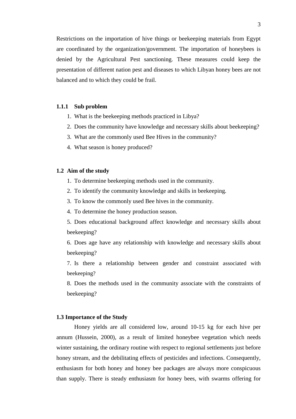Restrictions on the importation of hive things or beekeeping materials from Egypt are coordinated by the organization/government. The importation of honeybees is denied by the Agricultural Pest sanctioning. These measures could keep the presentation of different nation pest and diseases to which Libyan honey bees are not balanced and to which they could be frail.

#### <span id="page-16-0"></span>**1.1.1 Sub problem**

- 1. What is the beekeeping methods practiced in Libya?
- 2. Does the community have knowledge and necessary skills about beekeeping?
- 3. What are the commonly used Bee Hives in the community?
- 4. What season is honey produced?

#### <span id="page-16-1"></span>**1.2 Aim of the study**

- 1. To determine beekeeping methods used in the community.
- 2. To identify the community knowledge and skills in beekeeping.
- 3. To know the commonly used Bee hives in the community.
- 4. To determine the honey production season.
- 5. Does educational background affect knowledge and necessary skills about beekeeping?
- 6. Does age have any relationship with knowledge and necessary skills about beekeeping?
- 7. Is there a relationship between gender and constraint associated with beekeeping?
- 8. Does the methods used in the community associate with the constraints of beekeeping?

#### <span id="page-16-2"></span>**1.3 Importance of the Study**

Honey yields are all considered low, around 10-15 kg for each hive per annum (Hussein, 2000), as a result of limited honeybee vegetation which needs winter sustaining, the ordinary routine with respect to regional settlements just before honey stream, and the debilitating effects of pesticides and infections. Consequently, enthusiasm for both honey and honey bee packages are always more conspicuous than supply. There is steady enthusiasm for honey bees, with swarms offering for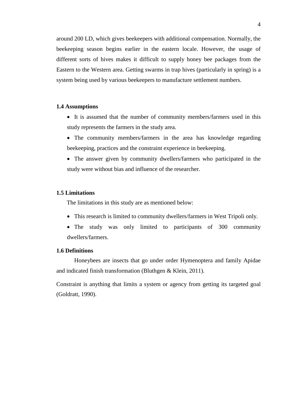around 200 LD, which gives beekeepers with additional compensation. Normally, the beekeeping season begins earlier in the eastern locale. However, the usage of different sorts of hives makes it difficult to supply honey bee packages from the Eastern to the Western area. Getting swarms in trap hives (particularly in spring) is a system being used by various beekeepers to manufacture settlement numbers.

#### <span id="page-17-0"></span>**1.4 Assumptions**

- It is assumed that the number of community members/farmers used in this study represents the farmers in the study area.
- The community members/farmers in the area has knowledge regarding beekeeping, practices and the constraint experience in beekeeping.
- The answer given by community dwellers/farmers who participated in the study were without bias and influence of the researcher.

#### <span id="page-17-1"></span>**1.5 Limitations**

The limitations in this study are as mentioned below:

- This research is limited to community dwellers/farmers in West Tripoli only.
- The study was only limited to participants of 300 community dwellers/farmers.

#### <span id="page-17-2"></span>**1.6 Definitions**

Honeybees are insects that go under order Hymenoptera and family Apidae and indicated finish transformation (Bluthgen & Klein, 2011).

Constraint is anything that limits a system or agency from getting its targeted goal (Goldratt, 1990).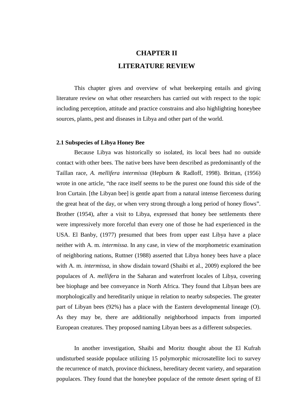## **LITERATURE REVIEW CHAPTER II**

<span id="page-18-0"></span>This chapter gives and overview of what beekeeping entails and giving literature review on what other researchers has carried out with respect to the topic including perception, attitude and practice constrains and also highlighting honeybee sources, plants, pest and diseases in Libya and other part of the world.

#### **2.1 Subspecies of Libya Honey Bee**

Because Libya was historically so isolated, its local bees had no outside contact with other bees. The native bees have been described as predominantly of the Taillan race, *A. mellifera intermissa* (Hepburn & Radloff, 1998). Brittan, (1956) wrote in one article, "the race itself seems to be the purest one found this side of the Iron Curtain. [the Libyan bee] is gentle apart from a natural intense fierceness during the great heat of the day, or when very strong through a long period of honey flows". Brother (1954), after a visit to Libya, expressed that honey bee settlements there were impressively more forceful than every one of those he had experienced in the USA. El Banby, (1977) presumed that bees from upper east Libya have a place neither with A. m. *intermissa*. In any case, in view of the morphometric examination of neighboring nations, Ruttner (1988) asserted that Libya honey bees have a place with A. m. *intermissa*, in show disdain toward (Shaibi et al., 2009) explored the bee populaces of A. *mellifera* in the Saharan and waterfront locales of Libya, covering bee biophage and bee conveyance in North Africa. They found that Libyan bees are morphologically and hereditarily unique in relation to nearby subspecies. The greater part of Libyan bees (92%) has a place with the Eastern developmental lineage (O). As they may be, there are additionally neighborhood impacts from imported European creatures. They proposed naming Libyan bees as a different subspecies.

In another investigation, Shaibi and Moritz thought about the El Kufrah undisturbed seaside populace utilizing 15 polymorphic microsatellite loci to survey the recurrence of match, province thickness, hereditary decent variety, and separation populaces. They found that the honeybee populace of the remote desert spring of El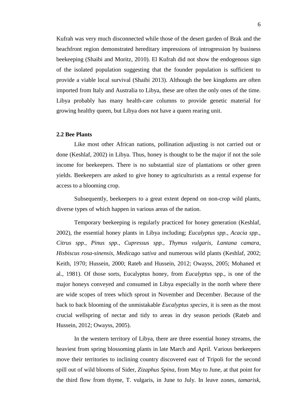Kufrah was very much disconnected while those of the desert garden of Brak and the beachfront region demonstrated hereditary impressions of introgression by business beekeeping (Shaibi and Moritz, 2010). El Kufrah did not show the endogenous sign of the isolated population suggesting that the founder population is sufficient to provide a viable local survival (Shaibi 2013). Although the bee kingdoms are often imported from Italy and Australia to Libya, these are often the only ones of the time. Libya probably has many health-care columns to provide genetic material for growing healthy queen, but Libya does not have a queen rearing unit.

#### <span id="page-19-0"></span>**2.2 Bee Plants**

Like most other African nations, pollination adjusting is not carried out or done (Keshlaf, 2002) in Libya. Thus, honey is thought to be the major if not the sole income for beekeepers. There is no substantial size of plantations or other green yields. Beekeepers are asked to give honey to agriculturists as a rental expense for access to a blooming crop.

Subsequently, beekeepers to a great extent depend on non-crop wild plants, diverse types of which happen in various areas of the nation.

Temporary beekeeping is regularly practiced for honey generation (Keshlaf, 2002), the essential honey plants in Libya including; *Eucalyptus spp., Acacia spp., Citrus spp., Pinus spp., Cupressus spp., Thymus vulgaris, Lantana camara, Hisbiscus rosa-sinensis, Medicago sativa* and numerous wild plants (Keshlaf, 2002; Keith, 1970; Hussein, 2000; Rateb and Hussein, 2012; Owayss, 2005; Mohaned et al., 1981). Of those sorts, Eucalyptus honey, from *Eucalyptus* spp., is one of the major honeys conveyed and consumed in Libya especially in the north where there are wide scopes of trees which sprout in November and December. Because of the back to back blooming of the unmistakable *Eucalyptus species*, it is seen as the most crucial wellspring of nectar and tidy to areas in dry season periods (Rateb and Hussein, 2012; Owayss, 2005).

In the western territory of Libya, there are three essential honey streams, the heaviest from spring blossoming plants in late March and April. Various beekeepers move their territories to inclining country discovered east of Tripoli for the second spill out of wild blooms of Sider, *Zizaphus Spina*, from May to June, at that point for the third flow from thyme, T. vulgaris, in June to July. In leave zones, *tamarisk,*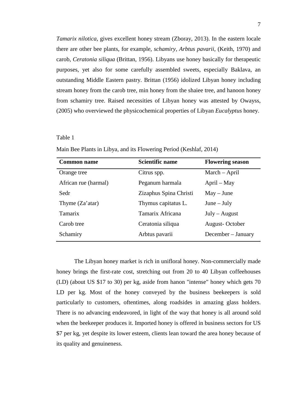*Tamarix nilotica*, gives excellent honey stream (Zboray, 2013). In the eastern locale there are other bee plants, for example, *schamiry, Arbtus pavarii*, (Keith, 1970) and carob, *Ceratonia siliqua* (Brittan, 1956). Libyans use honey basically for therapeutic purposes, yet also for some carefully assembled sweets, especially Baklava, an outstanding Middle Eastern pastry. Brittan (1956) idolized Libyan honey including stream honey from the carob tree, min honey from the shaiee tree, and hanoon honey from schamiry tree. Raised necessities of Libyan honey was attested by Owayss, (2005) who overviewed the physicochemical properties of Libyan *Eucalyptus* honey.

#### <span id="page-20-0"></span>Table 1

| <b>Common name</b>        | <b>Scientific name</b> | <b>Flowering season</b> |
|---------------------------|------------------------|-------------------------|
| Orange tree               | Citrus spp.            | March – April           |
| African rue (harmal)      | Peganum harmala        | April – May             |
| Sedr                      | Zizaphus Spina Christi | $May - June$            |
| Thyme $(Za' \text{atar})$ | Thymus capitatus L.    | $June - July$           |
| <b>Tamarix</b>            | Tamarix Africana       | $July - August$         |
| Carob tree                | Ceratonia siliqua      | August-October          |
| Schamiry                  | Arbtus pavarii         | December – January      |

Main Bee Plants in Libya, and its Flowering Period (Keshlaf, 2014)

The Libyan honey market is rich in unifloral honey. Non-commercially made honey brings the first-rate cost, stretching out from 20 to 40 Libyan coffeehouses (LD) (about US \$17 to 30) per kg, aside from hanon "intense" honey which gets 70 LD per kg. Most of the honey conveyed by the business beekeepers is sold particularly to customers, oftentimes, along roadsides in amazing glass holders. There is no advancing endeavored, in light of the way that honey is all around sold when the beekeeper produces it. Imported honey is offered in business sectors for US \$7 per kg, yet despite its lower esteem, clients lean toward the area honey because of its quality and genuineness.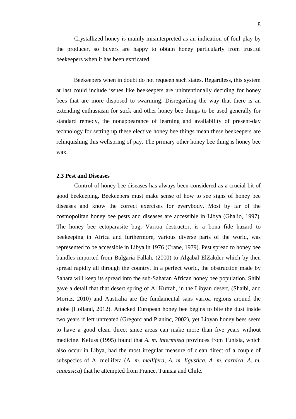Crystallized honey is mainly misinterpreted as an indication of foul play by the producer, so buyers are happy to obtain honey particularly from trustful beekeepers when it has been extricated.

Beekeepers when in doubt do not requeen such states. Regardless, this system at last could include issues like beekeepers are unintentionally deciding for honey bees that are more disposed to swarming. Disregarding the way that there is an extending enthusiasm for stick and other honey bee things to be used generally for standard remedy, the nonappearance of learning and availability of present-day technology for setting up these elective honey bee things mean these beekeepers are relinquishing this wellspring of pay. The primary other honey bee thing is honey bee wax.

#### <span id="page-21-0"></span>**2.3 Pest and Diseases**

Control of honey bee diseases has always been considered as a crucial bit of good beekeeping. Beekeepers must make sense of how to see signs of honey bee diseases and know the correct exercises for everybody. Most by far of the cosmopolitan honey bee pests and diseases are accessible in Libya (Ghalio, 1997). The honey bee ectoparasite bug, Varroa destructor, is a bona fide hazard to beekeeping in Africa and furthermore, various diverse parts of the world, was represented to be accessible in Libya in 1976 (Crane, 1979). Pest spread to honey bee bundles imported from Bulgaria Fallah, (2000) to Algabal ElZakder which by then spread rapidly all through the country. In a perfect world, the obstruction made by Sahara will keep its spread into the sub-Saharan African honey bee population. Shibi gave a detail that that desert spring of Al Kufrah, in the Libyan desert, (Shaibi, and Moritz, 2010) and Australia are the fundamental sans varroa regions around the globe (Holland, 2012). Attacked European honey bee begins to bite the dust inside two years if left untreated (Gregorc and Planinc, 2002), yet Libyan honey bees seem to have a good clean direct since areas can make more than five years without medicine. Kefuss (1995) found that *A. m. intermissa* provinces from Tunisia, which also occur in Libya, had the most irregular measure of clean direct of a couple of subspecies of A. mellifera (A*. m. mellifera, A. m. ligustica, A. m. carnica, A. m. caucasica*) that he attempted from France, Tunisia and Chile.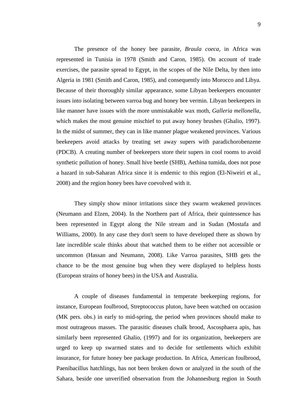The presence of the honey bee parasite, *Braula coeca*, in Africa was represented in Tunisia in 1978 (Smith and Caron, 1985). On account of trade exercises, the parasite spread to Egypt, in the scopes of the Nile Delta, by then into Algeria in 1981 (Smith and Caron, 1985), and consequently into Morocco and Libya. Because of their thoroughly similar appearance, some Libyan beekeepers encounter issues into isolating between varroa bug and honey bee vermin. Libyan beekeepers in like manner have issues with the more unmistakable wax moth, *Galleria mellonella*, which makes the most genuine mischief to put away honey brushes (Ghalio, 1997). In the midst of summer, they can in like manner plague weakened provinces. Various beekeepers avoid attacks by treating set away supers with paradichorobenzene (PDCB). A creating number of beekeepers store their supers in cool rooms to avoid synthetic pollution of honey. Small hive beetle (SHB), Aethina tumida, does not pose a hazard in sub-Saharan Africa since it is endemic to this region (El-Niweiri et al.,

They simply show minor irritations since they swarm weakened provinces (Neumann and Elzen, 2004). In the Northern part of Africa, their quintessence has been represented in Egypt along the Nile stream and in Sudan (Mostafa and Williams, 2000). In any case they don't seem to have developed there as shown by late incredible scale thinks about that watched them to be either not accessible or uncommon (Hassan and Neumann, 2008). Like Varroa parasites, SHB gets the chance to be the most genuine bug when they were displayed to helpless hosts (European strains of honey bees) in the USA and Australia.

2008) and the region honey bees have coevolved with it.

A couple of diseases fundamental in temperate beekeeping regions, for instance, European foulbrood, Streptococcus pluton, have been watched on occasion (MK pers. obs.) in early to mid-spring, the period when provinces should make to most outrageous masses. The parasitic diseases chalk brood, Ascosphaera apis, has similarly been represented Ghalio, (1997) and for its organization, beekeepers are urged to keep up swarmed states and to decide for settlements which exhibit insurance, for future honey bee package production. In Africa, American foulbrood, Paenibacillus hatchlings, has not been broken down or analyzed in the south of the Sahara, beside one unverified observation from the Johannesburg region in South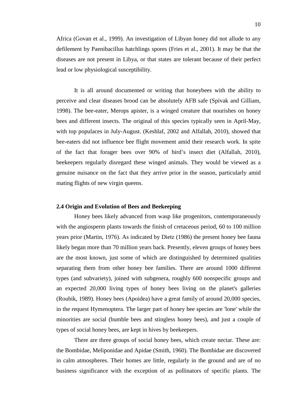Africa (Govan et al., 1999). An investigation of Libyan honey did not allude to any defilement by Paenibacillus hatchlings spores (Fries et al., 2001). It may be that the diseases are not present in Libya, or that states are tolerant because of their perfect lead or low physiological susceptibility.

It is all around documented or writing that honeybees with the ability to perceive and clear diseases brood can be absolutely AFB safe (Spivak and Gilliam, 1998). The bee-eater, Merops apister, is a winged creature that nourishes on honey bees and different insects. The original of this species typically seen in April-May, with top populaces in July-August. (Keshlaf, 2002 and Alfallah, 2010), showed that bee-eaters did not influence bee flight movement amid their research work. In spite of the fact that forager bees over 90% of bird's insect diet (Alfallah, 2010), beekeepers regularly disregard these winged animals. They would be viewed as a genuine nuisance on the fact that they arrive prior in the season, particularly amid mating flights of new virgin queens.

#### <span id="page-23-0"></span>**2.4 Origin and Evolution of Bees and Beekeeping**

Honey bees likely advanced from wasp like progenitors, contemporaneously with the angiosperm plants towards the finish of cretaceous period, 60 to 100 million years prior (Martin, 1976). As indicated by Dietz (1986) the present honey bee fauna likely began more than 70 million years back. Presently, eleven groups of honey bees are the most known, just some of which are distinguished by determined qualities separating them from other honey bee families. There are around 1000 different types (and subvariety), joined with subgenera, roughly 600 nonspecific groups and an expected 20,000 living types of honey bees living on the planet's galleries (Roubik, 1989). Honey bees (Apoidea) have a great family of around 20,000 species, in the request Hymenoptera. The larger part of honey bee species are 'lone' while the minorities are social (bumble bees and stingless honey bees), and just a couple of types of social honey bees, are kept in hives by beekeepers.

There are three groups of social honey bees, which create nectar. These are: the Bombidae, Meliponidae and Apidae (Smith, 1960). The Bombidae are discovered in calm atmospheres. Their homes are little, regularly in the ground and are of no business significance with the exception of as pollinators of specific plants. The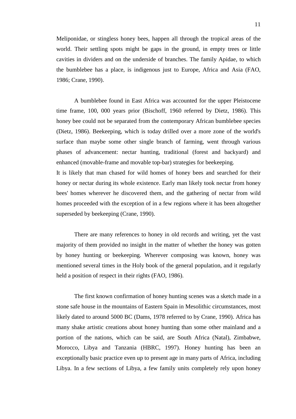Meliponidae, or stingless honey bees, happen all through the tropical areas of the world. Their settling spots might be gaps in the ground, in empty trees or little cavities in dividers and on the underside of branches. The family Apidae, to which the bumblebee has a place, is indigenous just to Europe, Africa and Asia (FAO, 1986; Crane, 1990).

A bumblebee found in East Africa was accounted for the upper Pleistocene time frame, 100, 000 years prior (Bischoff, 1960 referred by Dietz, 1986). This honey bee could not be separated from the contemporary African bumblebee species (Dietz, 1986). Beekeeping, which is today drilled over a more zone of the world's surface than maybe some other single branch of farming, went through various phases of advancement: nectar hunting, traditional (forest and backyard) and enhanced (movable-frame and movable top-bar) strategies for beekeeping.

It is likely that man chased for wild homes of honey bees and searched for their honey or nectar during its whole existence. Early man likely took nectar from honey bees' homes wherever he discovered them, and the gathering of nectar from wild homes proceeded with the exception of in a few regions where it has been altogether superseded by beekeeping (Crane, 1990).

There are many references to honey in old records and writing, yet the vast majority of them provided no insight in the matter of whether the honey was gotten by honey hunting or beekeeping. Wherever composing was known, honey was mentioned several times in the Holy book of the general population, and it regularly held a position of respect in their rights (FAO, 1986).

The first known confirmation of honey hunting scenes was a sketch made in a stone safe house in the mountains of Eastern Spain in Mesolithic circumstances, most likely dated to around 5000 BC (Dams, 1978 referred to by Crane, 1990). Africa has many shake artistic creations about honey hunting than some other mainland and a portion of the nations, which can be said, are South Africa (Natal), Zimbabwe, Morocco, Libya and Tanzania (HBRC, 1997). Honey hunting has been an exceptionally basic practice even up to present age in many parts of Africa, including Libya. In a few sections of Libya, a few family units completely rely upon honey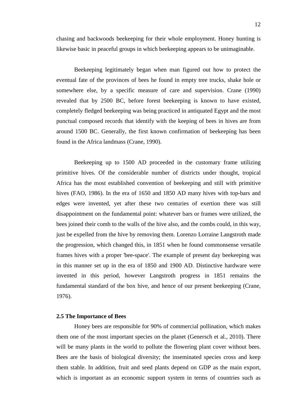chasing and backwoods beekeeping for their whole employment. Honey hunting is likewise basic in peaceful groups in which beekeeping appears to be unimaginable.

Beekeeping legitimately began when man figured out how to protect the eventual fate of the provinces of bees he found in empty tree trucks, shake hole or somewhere else, by a specific measure of care and supervision. Crane (1990) revealed that by 2500 BC, before forest beekeeping is known to have existed, completely fledged beekeeping was being practiced in antiquated Egypt and the most punctual composed records that identify with the keeping of bees in hives are from around 1500 BC. Generally, the first known confirmation of beekeeping has been found in the Africa landmass (Crane, 1990).

Beekeeping up to 1500 AD proceeded in the customary frame utilizing primitive hives. Of the considerable number of districts under thought, tropical Africa has the most established convention of beekeeping and still with primitive hives (FAO, 1986). In the era of 1650 and 1850 AD many hives with top-bars and edges were invented, yet after these two centuries of exertion there was still disappointment on the fundamental point: whatever bars or frames were utilized, the bees joined their comb to the walls of the hive also, and the combs could, in this way, just be expelled from the hive by removing them. Lorenzo Lorraine Langstroth made the progression, which changed this, in 1851 when he found commonsense versatile frames hives with a proper 'bee-space'. The example of present day beekeeping was in this manner set up in the era of 1850 and 1900 AD. Distinctive hardware were invented in this period, however Langstroth progress in 1851 remains the fundamental standard of the box hive, and hence of our present beekeeping (Crane, 1976).

#### <span id="page-25-0"></span>**2.5 The Importance of Bees**

Honey bees are responsible for 90% of commercial pollination, which makes them one of the most important species on the planet (Genersch et al., 2010). There will be many plants in the world to pollute the flowering plant cover without bees. Bees are the basis of biological diversity; the inseminated species cross and keep them stable. In addition, fruit and seed plants depend on GDP as the main export, which is important as an economic support system in terms of countries such as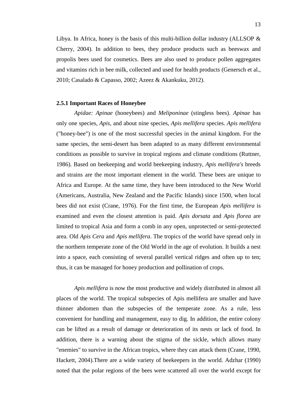Libya. In Africa, honey is the basis of this multi-billion dollar industry (ALLSOP  $\&$ Cherry, 2004). In addition to bees, they produce products such as beeswax and propolis bees used for cosmetics. Bees are also used to produce pollen aggregates and vitamins rich in bee milk, collected and used for health products (Genersch et al., 2010; Casalado & Capasso, 2002; Azeez & Akankuku, 2012).

#### <span id="page-26-0"></span>**2.5.1 Important Races of Honeybee**

*Apidae: Apinae* (honeybees) and *Meliponinae* (stingless bees). *Apinae* has only one species, *Apis,* and about nine species, *Apis mellifera* species. *Apis mellifera* ("honey-bee") is one of the most successful species in the animal kingdom. For the same species, the semi-desert has been adapted to as many different environmental conditions as possible to survive in tropical regions and climate conditions (Ruttner, 1986). Based on beekeeping and world beekeeping industry, *Apis mellifera's* breeds and strains are the most important element in the world. These bees are unique to Africa and Europe. At the same time, they have been introduced to the New World (Americans, Australia, New Zealand and the Pacific Islands) since 1500, when local bees did not exist (Crane, 1976). For the first time, the European *Apis mellifera* is examined and even the closest attention is paid. *Apis dorsata* and *Apis florea* are limited to tropical Asia and form a comb in any open, unprotected or semi-protected area. Old *Apis Cera* and *Apis mellifera*. The tropics of the world have spread only in the northern temperate zone of the Old World in the age of evolution. It builds a nest into a space, each consisting of several parallel vertical ridges and often up to ten; thus, it can be managed for honey production and pollination of crops.

*Apis mellifera* is now the most productive and widely distributed in almost all places of the world. The tropical subspecies of Apis mellifera are smaller and have thinner abdomen than the subspecies of the temperate zone. As a rule, less convenient for handling and management, easy to dig. In addition, the entire colony can be lifted as a result of damage or deterioration of its nests or lack of food. In addition, there is a warning about the stigma of the sickle, which allows many "enemies" to survive in the African tropics, where they can attack them (Crane, 1990, Hackett, 2004).There are a wide variety of beekeepers in the world. Adzhar (1990) noted that the polar regions of the bees were scattered all over the world except for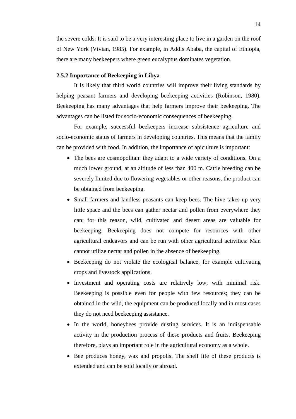the severe colds. It is said to be a very interesting place to live in a garden on the roof of New York (Vivian, 1985). For example, in Addis Ababa, the capital of Ethiopia, there are many beekeepers where green eucalyptus dominates vegetation.

### <span id="page-27-0"></span>**2.5.2 Importance of Beekeeping in Libya**

It is likely that third world countries will improve their living standards by helping peasant farmers and developing beekeeping activities (Robinson, 1980). Beekeeping has many advantages that help farmers improve their beekeeping. The advantages can be listed for socio-economic consequences of beekeeping.

For example, successful beekeepers increase subsistence agriculture and socio-economic status of farmers in developing countries. This means that the family can be provided with food. In addition, the importance of apiculture is important:

- The bees are cosmopolitan: they adapt to a wide variety of conditions. On a much lower ground, at an altitude of less than 400 m. Cattle breeding can be severely limited due to flowering vegetables or other reasons, the product can be obtained from beekeeping.
- Small farmers and landless peasants can keep bees. The hive takes up very little space and the bees can gather nectar and pollen from everywhere they can; for this reason, wild, cultivated and desert areas are valuable for beekeeping. Beekeeping does not compete for resources with other agricultural endeavors and can be run with other agricultural activities: Man cannot utilize nectar and pollen in the absence of beekeeping.
- Beekeeping do not violate the ecological balance, for example cultivating crops and livestock applications.
- Investment and operating costs are relatively low, with minimal risk. Beekeeping is possible even for people with few resources; they can be obtained in the wild, the equipment can be produced locally and in most cases they do not need beekeeping assistance.
- In the world, honeybees provide dusting services. It is an indispensable activity in the production process of these products and fruits. Beekeeping therefore, plays an important role in the agricultural economy as a whole.
- Bee produces honey, wax and propolis. The shelf life of these products is extended and can be sold locally or abroad.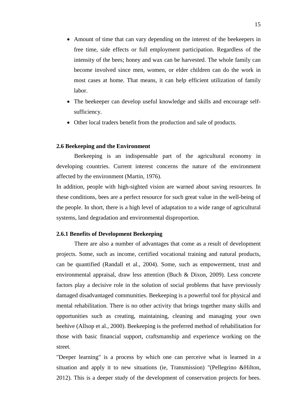- Amount of time that can vary depending on the interest of the beekeepers in free time, side effects or full employment participation. Regardless of the intensity of the bees; honey and wax can be harvested. The whole family can become involved since men, women, or elder children can do the work in most cases at home. That means, it can help efficient utilization of family labor.
- The beekeeper can develop useful knowledge and skills and encourage selfsufficiency.
- Other local traders benefit from the production and sale of products.

#### <span id="page-28-0"></span>**2.6 Beekeeping and the Environment**

Beekeeping is an indispensable part of the agricultural economy in developing countries. Current interest concerns the nature of the environment affected by the environment (Martin, 1976).

In addition, people with high-sighted vision are warned about saving resources. In these conditions, bees are a perfect resource for such great value in the well-being of the people. In short, there is a high level of adaptation to a wide range of agricultural systems, land degradation and environmental disproportion.

#### <span id="page-28-1"></span>**2.6.1 Benefits of Development Beekeeping**

There are also a number of advantages that come as a result of development projects. Some, such as income, certified vocational training and natural products, can be quantified (Randall et al., 2004). Some, such as empowerment, trust and environmental appraisal, draw less attention (Buch & Dixon, 2009). Less concrete factors play a decisive role in the solution of social problems that have previously damaged disadvantaged communities. Beekeeping is a powerful tool for physical and mental rehabilitation. There is no other activity that brings together many skills and opportunities such as creating, maintaining, cleaning and managing your own beehive (Allsop et al., 2000). Beekeeping is the preferred method of rehabilitation for those with basic financial support, craftsmanship and experience working on the street.

"Deeper learning" is a process by which one can perceive what is learned in a situation and apply it to new situations (ie, Transmission) "(Pellegrino &Hilton, 2012). This is a deeper study of the development of conservation projects for bees.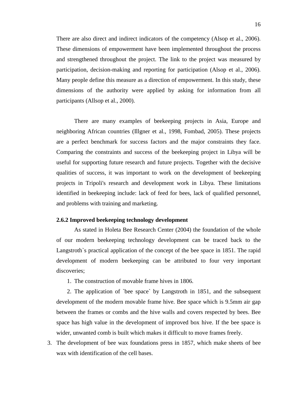There are also direct and indirect indicators of the competency (Alsop et al., 2006). These dimensions of empowerment have been implemented throughout the process and strengthened throughout the project. The link to the project was measured by participation, decision-making and reporting for participation (Alsop et al., 2006). Many people define this measure as a direction of empowerment. In this study, these dimensions of the authority were applied by asking for information from all participants (Allsop et al., 2000).

There are many examples of beekeeping projects in Asia, Europe and neighboring African countries (Illgner et al., 1998, Fombad, 2005). These projects are a perfect benchmark for success factors and the major constraints they face. Comparing the constraints and success of the beekeeping project in Libya will be useful for supporting future research and future projects. Together with the decisive qualities of success, it was important to work on the development of beekeeping projects in Tripoli's research and development work in Libya. These limitations identified in beekeeping include: lack of feed for bees, lack of qualified personnel, and problems with training and marketing.

#### <span id="page-29-0"></span>**2.6.2 Improved beekeeping technology development**

As stated in Holeta Bee Research Center (2004) the foundation of the whole of our modern beekeeping technology development can be traced back to the Langstroth`s practical application of the concept of the bee space in 1851. The rapid development of modern beekeeping can be attributed to four very important discoveries;

1. The construction of movable frame hives in 1806.

2. The application of `bee space` by Langstroth in 1851, and the subsequent development of the modern movable frame hive. Bee space which is 9.5mm air gap between the frames or combs and the hive walls and covers respected by bees. Bee space has high value in the development of improved box hive. If the bee space is wider, unwanted comb is built which makes it difficult to move frames freely.

3. The development of bee wax foundations press in 1857, which make sheets of bee wax with identification of the cell bases.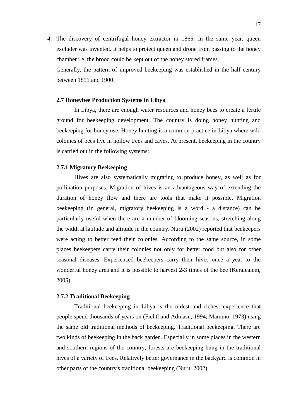4. The discovery of centrifugal honey extractor in 1865. In the same year, queen excluder was invented. It helps to protect queen and drone from passing to the honey chamber i.e. the brood could be kept out of the honey stored frames.

Generally, the pattern of improved beekeeping was established in the half century between 1851 and 1900.

#### <span id="page-30-0"></span>**2.7 Honeybee Production Systems in Libya**

In Libya, there are enough water resources and honey bees to create a fertile ground for beekeeping development. The country is doing honey hunting and beekeeping for honey use. Honey hunting is a common practice in Libya where wild colonies of bees live in hollow trees and caves. At present, beekeeping in the country is carried out in the following systems:

#### <span id="page-30-1"></span>**2.7.1 Migratory Beekeeping**

Hives are also systematically migrating to produce honey, as well as for pollination purposes. Migration of hives is an advantageous way of extending the duration of honey flow and there are tools that make it possible. Migration beekeeping (in general, migratory beekeeping is a word - a distance) can be particularly useful when there are a number of blooming seasons, stretching along the width at latitude and altitude in the country. Nuru (2002) reported that beekeepers were acting to better feed their colonies. According to the same source, in some places beekeepers carry their colonies not only for better food but also for other seasonal diseases. Experienced beekeepers carry their hives once a year to the wonderful honey area and it is possible to harvest 2-3 times of the bee (Keralealem, 2005).

### <span id="page-30-2"></span>**2.7.2 Traditional Beekeeping**

Traditional beekeeping in Libya is the oldest and richest experience that people spend thousands of years on (Fichtl and Admasu, 1994; Mammo, 1973) using the same old traditional methods of beekeeping. Traditional beekeeping. There are two kinds of beekeeping in the back garden. Especially in some places in the western and southern regions of the country, forests are beekeeping hung in the traditional hives of a variety of trees. Relatively better governance in the backyard is common in other parts of the country's traditional beekeeping (Nuru, 2002).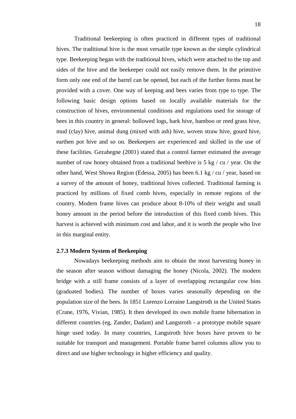Traditional beekeeping is often practiced in different types of traditional hives. The traditional hive is the most versatile type known as the simple cylindrical type. Beekeeping began with the traditional hives, which were attached to the top and sides of the hive and the beekeeper could not easily remove them. In the primitive form only one end of the barrel can be opened, but each of the further forms must be provided with a cover. One way of keeping and bees varies from type to type. The following basic design options based on locally available materials for the construction of hives, environmental conditions and regulations used for storage of bees in this country in general: hollowed logs, bark hive, bamboo or reed grass hive, mud (clay) hive, animal dung (mixed with ash) hive, woven straw hive, gourd hive, earthen pot hive and so on. Beekeepers are experienced and skilled in the use of these facilities. Gezahegne (2001) stated that a control farmer estimated the average number of raw honey obtained from a traditional beehive is 5 kg / cu / year. On the other hand, West Showa Region (Edessa, 2005) has been 6.1 kg / cu / year, based on a survey of the amount of honey, traditional hives collected. Traditional farming is practiced by millions of fixed comb hives, especially in remote regions of the country. Modern frame hives can produce about 8-10% of their weight and small honey amount in the period before the introduction of this fixed comb hives. This harvest is achieved with minimum cost and labor, and it is worth the people who live in this marginal entity.

#### <span id="page-31-0"></span>**2.7.3 Modern System of Beekeeping**

Nowadays beekeeping methods aim to obtain the most harvesting honey in the season after season without damaging the honey (Nicola, 2002). The modern bridge with a still frame consists of a layer of overlapping rectangular cow bins (graduated bodies). The number of boxes varies seasonally depending on the population size of the bees. In 1851 Lorenzo Lorraine Langstroth in the United States (Crane, 1976, Vivian, 1985). It then developed its own mobile frame hibernation in different countries (eg, Zander, Dadant) and Langstroth - a prototype mobile square hinge used today. In many countries, Langstroth hive boxes have proven to be suitable for transport and management. Portable frame barrel columns allow you to direct and use higher technology in higher efficiency and quality.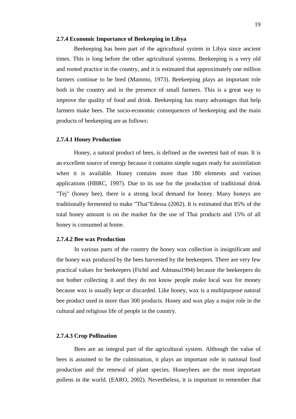#### <span id="page-32-0"></span>**2.7.4 Economic Importance of Beekeeping in Libya**

Beekeeping has been part of the agricultural system in Libya since ancient times. This is long before the other agricultural systems. Beekeeping is a very old and rooted practice in the country, and it is estimated that approximately one million farmers continue to be bred (Mammo, 1973). Beekeeping plays an important role both in the country and in the presence of small farmers. This is a great way to improve the quality of food and drink. Beekeeping has many advantages that help farmers make bees. The socio-economic consequences of beekeeping and the main products of beekeeping are as follows:

#### **2.7.4.1 Honey Production**

Honey, a natural product of bees, is defined as the sweetest bait of man. It is an excellent source of energy because it contains simple sugars ready for assimilation when it is available. Honey contains more than 180 elements and various applications (HBRC, 1997). Due to its use for the production of traditional drink "Tej" (honey bee), there is a strong local demand for honey. Many honeys are traditionally fermented to make "Thai"Edessa (2002). It is estimated that 85% of the total honey amount is on the market for the use of Thai products and 15% of all honey is consumed at home.

#### **2.7.4.2 Bee wax Production**

In various parts of the country the honey wax collection is insignificant and the honey wax produced by the bees harvested by the beekeepers. There are very few practical values for beekeepers (Fichtl and Admasu1994) because the beekeepers do not bother collecting it and they do not know people make local wax for money because wax is usually kept or discarded. Like honey, wax is a multipurpose natural bee product used in more than 300 products. Honey and wax play a major role in the cultural and religious life of people in the country.

#### **2.7.4.3 Crop Pollination**

Bees are an integral part of the agricultural system. Although the value of bees is assumed to be the culmination, it plays an important role in national food production and the renewal of plant species. Honeybees are the most important pollens in the world. (EARO, 2002). Nevertheless, it is important to remember that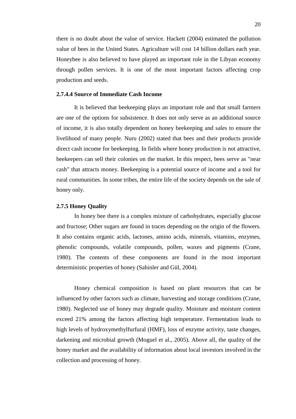there is no doubt about the value of service. Hackett (2004) estimated the pollution value of bees in the United States. Agriculture will cost 14 billion dollars each year. Honeybee is also believed to have played an important role in the Libyan economy through pollen services. It is one of the most important factors affecting crop production and seeds.

#### **2.7.4.4 Source of Immediate Cash Income**

It is believed that beekeeping plays an important role and that small farmers are one of the options for subsistence. It does not only serve as an additional source of income, it is also totally dependent on honey beekeeping and sales to ensure the livelihood of many people. Nuru (2002) stated that bees and their products provide direct cash income for beekeeping. In fields where honey production is not attractive, beekeepers can sell their colonies on the market. In this respect, bees serve as "near cash" that attracts money. Beekeeping is a potential source of income and a tool for rural communities. In some tribes, the entire life of the society depends on the sale of honey only.

#### <span id="page-33-0"></span>**2.7.5 Honey Quality**

In honey bee there is a complex mixture of carbohydrates, especially glucose and fructose; Other sugars are found in traces depending on the origin of the flowers. It also contains organic acids, lactones, amino acids, minerals, vitamins, enzymes, phenolic compounds, volatile compounds, pollen, waxes and pigments (Crane, 1980). The contents of these components are found in the most important deterministic properties of honey (Sahinler and Gül, 2004).

Honey chemical composition is based on plant resources that can be influenced by other factors such as climate, harvesting and storage conditions (Crane, 1980). Neglected use of honey may degrade quality. Moisture and moisture content exceed 21% among the factors affecting high temperature. Fermentation leads to high levels of hydroxymethylfurfural (HMF), loss of enzyme activity, taste changes, darkening and microbial growth (Moguel et al., 2005). Above all, the quality of the honey market and the availability of information about local investors involved in the collection and processing of honey.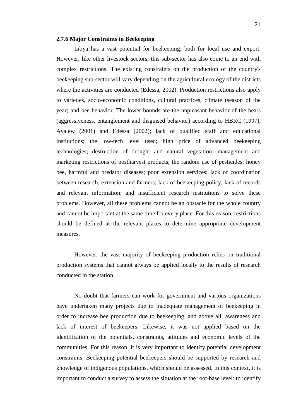#### <span id="page-34-0"></span>**2.7.6 Major Constraints in Beekeeping**

Libya has a vast potential for beekeeping; both for local use and export. However, like other livestock sectors, this sub-sector has also come to an end with complex restrictions. The existing constraints on the production of the country's beekeeping sub-sector will vary depending on the agricultural ecology of the districts where the activities are conducted (Edessa, 2002). Production restrictions also apply to varieties, socio-economic conditions, cultural practices, climate (season of the year) and bee behavior. The lower bounds are the unpleasant behavior of the bears (aggressiveness, entanglement and disguised behavior) according to HBRC (1997), Ayalew (2001) and Edessa (2002); lack of qualified staff and educational institutions; the low-tech level used; high price of advanced beekeeping technologies; destruction of drought and natural vegetation; management and marketing restrictions of postharvest products; the random use of pesticides; honey bee, harmful and predator diseases; poor extension services; lack of coordination between research, extension and farmers; lack of beekeeping policy; lack of records and relevant information; and insufficient research institutions to solve these problems. However, all these problems cannot be an obstacle for the whole country and cannot be important at the same time for every place. For this reason, restrictions should be defined at the relevant places to determine appropriate development measures.

However, the vast majority of beekeeping production relies on traditional production systems that cannot always be applied locally to the results of research conducted in the station.

No doubt that farmers can work for government and various organizations have undertaken many projects due to inadequate management of beekeeping in order to increase bee production due to beekeeping, and above all, awareness and lack of interest of beekeepers. Likewise, it was not applied based on the identification of the potentials, constraints, attitudes and economic levels of the communities. For this reason, it is very important to identify potential development constraints. Beekeeping potential beekeepers should be supported by research and knowledge of indigenous populations, which should be assessed. In this context, it is important to conduct a survey to assess the situation at the root-base level: to identify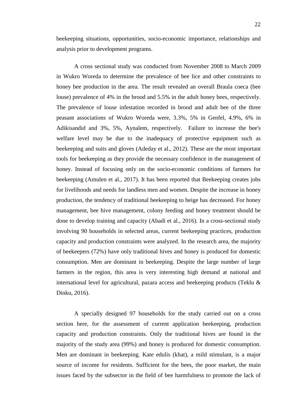beekeeping situations, opportunities, socio-economic importance, relationships and analysis prior to development programs.

A cross sectional study was conducted from November 2008 to March 2009 in Wukro Woreda to determine the prevalence of bee lice and other constraints to honey bee production in the area. The result revealed an overall Braula coeca (bee louse) prevalence of 4% in the brood and 5.5% in the adult honey bees, respectively. The prevalence of louse infestation recorded in brood and adult bee of the three peasant associations of Wukro Woreda were, 3.3%, 5% in Genfel, 4.9%, 6% in Adikisandid and 3%, 5%, Aynalem, respectively. Failure to increase the bee's welfare level may be due to the inadequacy of protective equipment such as beekeeping and suits and gloves (Adeday et al., 2012). These are the most important tools for beekeeping as they provide the necessary confidence in the management of honey. Instead of focusing only on the socio-economic conditions of farmers for beekeeping (Amulen et al., 2017). It has been reported that Beekeeping creates jobs for livelihoods and needs for landless men and women. Despite the increase in honey production, the tendency of traditional beekeeping to beige has decreased. For honey management, bee hive management, colony feeding and honey treatment should be done to develop training and capacity (Abadi et al., 2016). In a cross-sectional study involving 90 households in selected areas, current beekeeping practices, production capacity and production constraints were analyzed. In the research area, the majority of beekeepers (72%) have only traditional hives and honey is produced for domestic consumption. Men are dominant in beekeeping. Despite the large number of large farmers in the region, this area is very interesting high demand at national and international level for agricultural, pazara access and beekeeping products (Teklu & Dinku, 2016).

A specially designed 97 households for the study carried out on a cross section here, for the assessment of current application beekeeping, production capacity and production constraints. Only the traditional hives are found in the majority of the study area (99%) and honey is produced for domestic consumption. Men are dominant in beekeeping. Kate edulis (khat), a mild stimulant, is a major source of income for residents. Sufficient for the bees, the poor market, the main issues faced by the subsector in the field of bee harmfulness to promote the lack of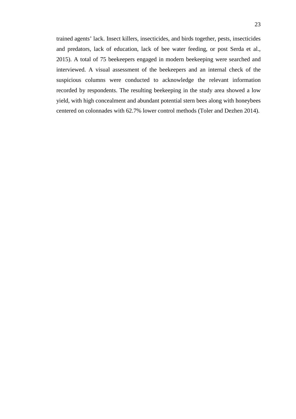trained agents' lack. Insect killers, insecticides, and birds together, pests, insecticides and predators, lack of education, lack of bee water feeding, or post Serda et al., 2015). A total of 75 beekeepers engaged in modern beekeeping were searched and interviewed. A visual assessment of the beekeepers and an internal check of the suspicious columns were conducted to acknowledge the relevant information recorded by respondents. The resulting beekeeping in the study area showed a low yield, with high concealment and abundant potential stern bees along with honeybees centered on colonnades with 62.7% lower control methods (Toler and Dezhen 2014).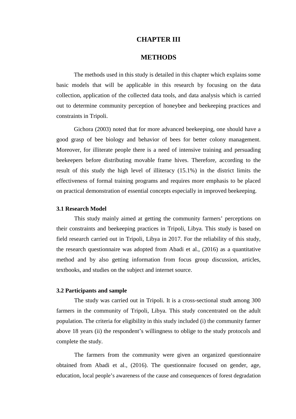## **CHAPTER III**

## **METHODS**

<span id="page-37-1"></span><span id="page-37-0"></span>The methods used in this study is detailed in this chapter which explains some basic models that will be applicable in this research by focusing on the data collection, application of the collected data tools, and data analysis which is carried out to determine community perception of honeybee and beekeeping practices and constraints in Tripoli.

Gichora (2003) noted that for more advanced beekeeping, one should have a good grasp of bee biology and behavior of bees for better colony management. Moreover, for illiterate people there is a need of intensive training and persuading beekeepers before distributing movable frame hives. Therefore, according to the result of this study the high level of illiteracy (15.1%) in the district limits the effectiveness of formal training programs and requires more emphasis to be placed on practical demonstration of essential concepts especially in improved beekeeping.

#### <span id="page-37-2"></span>**3.1 Research Model**

This study mainly aimed at getting the community farmers' perceptions on their constraints and beekeeping practices in Tripoli, Libya. This study is based on field research carried out in Tripoli, Libya in 2017. For the reliability of this study, the research questionnaire was adopted from Abadi et al., (2016) as a quantitative method and by also getting information from focus group discussion, articles, textbooks, and studies on the subject and internet source.

#### <span id="page-37-3"></span>**3.2 Participants and sample**

The study was carried out in Tripoli. It is a cross-sectional studt among 300 farmers in the community of Tripoli, Libya. This study concentrated on the adult population. The criteria for eligibility in this study included (i) the community farmer above 18 years (ii) the respondent's willingness to oblige to the study protocols and complete the study.

The farmers from the community were given an organized questionnaire obtained from Abadi et al., (2016). The questionnaire focused on gender, age, education, local people's awareness of the cause and consequences of forest degradation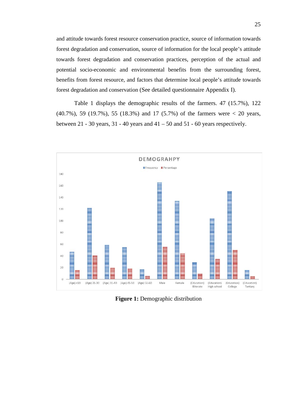and attitude towards forest resource conservation practice, source of information towards forest degradation and conservation, source of information for the local people's attitude towards forest degradation and conservation practices, perception of the actual and potential socio-economic and environmental benefits from the surrounding forest, benefits from forest resource, and factors that determine local people's attitude towards forest degradation and conservation (See detailed questionnaire Appendix I).

Table 1 displays the demographic results of the farmers. 47 (15.7%), 122 (40.7%), 59 (19.7%), 55 (18.3%) and 17 (5.7%) of the farmers were < 20 years, between 21 - 30 years, 31 - 40 years and  $41 - 50$  and  $51 - 60$  years respectively.

<span id="page-38-0"></span>

**Figure 1:** Demographic distribution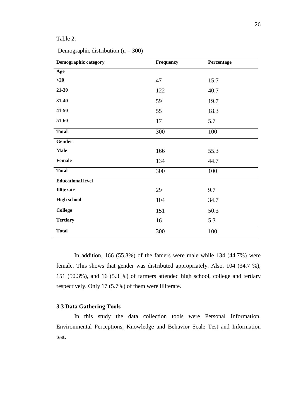### <span id="page-39-1"></span>Table 2:

| Demographic distribution ( $n = 300$ ) |  |  |
|----------------------------------------|--|--|
|----------------------------------------|--|--|

| Demographic category     | Frequency | Percentage |
|--------------------------|-----------|------------|
| Age                      |           |            |
| $<$ 20                   | 47        | 15.7       |
| $21 - 30$                | 122       | 40.7       |
| $31 - 40$                | 59        | 19.7       |
| $41 - 50$                | 55        | 18.3       |
| 51-60                    | 17        | 5.7        |
| <b>Total</b>             | 300       | 100        |
| <b>Gender</b>            |           |            |
| <b>Male</b>              | 166       | 55.3       |
| Female                   | 134       | 44.7       |
| <b>Total</b>             | 300       | 100        |
| <b>Educational level</b> |           |            |
| <b>Illiterate</b>        | 29        | 9.7        |
| <b>High school</b>       | 104       | 34.7       |
| <b>College</b>           | 151       | 50.3       |
| <b>Tertiary</b>          | 16        | 5.3        |
| <b>Total</b>             | 300       | 100        |

In addition, 166 (55.3%) of the famers were male while 134 (44.7%) were female. This shows that gender was distributed appropriately. Also, 104 (34.7 %), 151 (50.3%), and 16 (5.3 %) of farmers attended high school, college and tertiary respectively. Only 17 (5.7%) of them were illiterate.

### <span id="page-39-0"></span>**3.3 Data Gathering Tools**

In this study the data collection tools were Personal Information, Environmental Perceptions, Knowledge and Behavior Scale Test and Information test.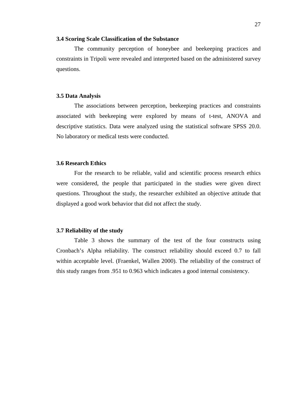#### <span id="page-40-0"></span>**3.4 Scoring Scale Classification of the Substance**

The community perception of honeybee and beekeeping practices and constraints in Tripoli were revealed and interpreted based on the administered survey questions.

#### <span id="page-40-1"></span>**3.5 Data Analysis**

The associations between perception, beekeeping practices and constraints associated with beekeeping were explored by means of t-test, ANOVA and descriptive statistics. Data were analyzed using the statistical software SPSS 20.0. No laboratory or medical tests were conducted.

#### <span id="page-40-2"></span>**3.6 Research Ethics**

For the research to be reliable, valid and scientific process research ethics were considered, the people that participated in the studies were given direct questions. Throughout the study, the researcher exhibited an objective attitude that displayed a good work behavior that did not affect the study.

#### <span id="page-40-3"></span>**3.7 Reliability of the study**

Table 3 shows the summary of the test of the four constructs using Cronbach's Alpha reliability. The construct reliability should exceed 0.7 to fall within acceptable level. (Fraenkel, Wallen 2000). The reliability of the construct of this study ranges from .951 to 0.963 which indicates a good internal consistency.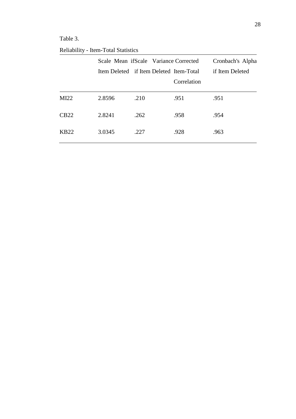## <span id="page-41-0"></span>Table 3.

| <b>Reliability - Item-Total Statistics</b> |  |
|--------------------------------------------|--|
|--------------------------------------------|--|

|                  |        | Scale Mean if Scale Variance Corrected<br>Item Deleted if Item Deleted Item-Total |             | Cronbach's Alpha<br>if Item Deleted |
|------------------|--------|-----------------------------------------------------------------------------------|-------------|-------------------------------------|
|                  |        |                                                                                   | Correlation |                                     |
| MI22             | 2.8596 | .210                                                                              | .951        | .951                                |
| CB22             | 2.8241 | .262                                                                              | .958        | .954                                |
| KB <sub>22</sub> | 3.0345 | .227                                                                              | .928        | .963                                |
|                  |        |                                                                                   |             |                                     |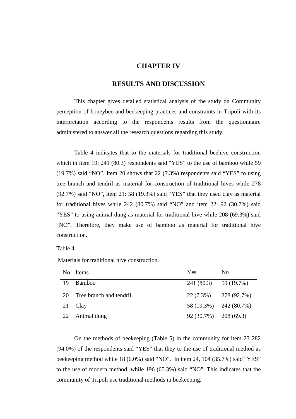### **CHAPTER IV**

## **RESULTS AND DISCUSSION**

<span id="page-42-1"></span><span id="page-42-0"></span>This chapter gives detailed statistical analysis of the study on Community perception of honeybee and beekeeping practices and constraints in Tripoli with its interpretation according to the respondents results from the questionnaire administered to answer all the research questions regarding this study.

Table 4 indicates that to the materials for traditional beehive construction which in item 19: 241 (80.3) respondents said "YES" to the use of bamboo while 59 (19.7%) said "NO". Item 20 shows that 22 (7.3%) respondents said "YES" to using tree branch and tendril as material for construction of traditional hives while 278 (92.7%) said "NO", item 21: 58 (19.3%) said "YES" that they used clay as material for traditional hives while 242 (80.7%) said "NO" and item 22: 92 (30.7%) said "YES" to using animal dung as material for traditional hive while 208 (69.3%) said "NO". Therefore, they make use of bamboo as material for traditional hive construction.

<span id="page-42-2"></span>Table 4.

| No. | <b>Items</b>            | Yes                     | No                        |
|-----|-------------------------|-------------------------|---------------------------|
| 19  | <b>Bamboo</b>           | $241(80.3)$ 59 (19.7%)  |                           |
| 20  | Tree branch and tendril |                         | $22(7.3\%)$ $278(92.7\%)$ |
|     | 21 Clay                 |                         | 58 (19.3%) 242 (80.7%)    |
|     | 22 Animal dung          | $92(30.7\%)$ 208 (69.3) |                           |

Materials for traditional hive construction.

On the methods of beekeeping (Table 5) in the community for item 23 282 (94.0%) of the respondents said "YES" that they to the use of traditional method as beekeeping method while 18 (6.0%) said "NO". In item 24, 104 (35.7%) said "YES" to the use of modern method, while 196 (65.3%) said "NO". This indicates that the community of Tripoli use traditional methods in beekeeping.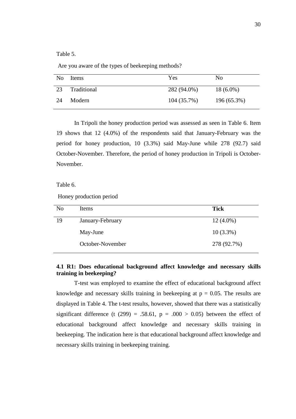<span id="page-43-1"></span>Table 5.

Are you aware of the types of beekeeping methods?

| No. | Items       | <b>Yes</b>    | N <sub>0</sub> |
|-----|-------------|---------------|----------------|
| 23  | Traditional | 282 (94.0%)   | $18(6.0\%)$    |
| 24  | Modern      | $104(35.7\%)$ | 196 (65.3%)    |

In Tripoli the honey production period was assessed as seen in Table 6. Item 19 shows that 12 (4.0%) of the respondents said that January-February was the period for honey production, 10 (3.3%) said May-June while 278 (92.7) said October-November. Therefore, the period of honey production in Tripoli is October-November.

<span id="page-43-2"></span>Table 6.

Honey production period

| No | Items            | <b>Tick</b> |
|----|------------------|-------------|
| 19 | January-February | $12(4.0\%)$ |
|    | May-June         | $10(3.3\%)$ |
|    | October-November | 278 (92.7%) |

## <span id="page-43-0"></span>**4.1 R1: Does educational background affect knowledge and necessary skills training in beekeeping?**

T-test was employed to examine the effect of educational background affect knowledge and necessary skills training in beekeeping at  $p = 0.05$ . The results are displayed in Table 4. The t-test results, however, showed that there was a statistically significant difference (t (299) = .58.61,  $p = .000 > 0.05$ ) between the effect of educational background affect knowledge and necessary skills training in beekeeping. The indication here is that educational background affect knowledge and necessary skills training in beekeeping training.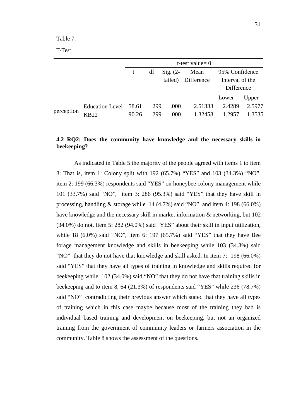<span id="page-44-1"></span>Table 7.

|  | ٧<br>۰,<br>۰, |
|--|---------------|
|  |               |

|            |                                 |                |            |                       | t-test value= $0$  |                                                 |                  |
|------------|---------------------------------|----------------|------------|-----------------------|--------------------|-------------------------------------------------|------------------|
|            |                                 | t              | df         | $Sig. (2-$<br>tailed) | Mean<br>Difference | 95% Confidence<br>Interval of the<br>Difference |                  |
|            |                                 |                |            |                       |                    | Lower                                           | Upper            |
| perception | <b>Education Level</b><br>3822) | 58.61<br>90.26 | 299<br>299 | .000<br>.000          | 2.51333<br>1.32458 | 2.4289<br>1.2957                                | 2.5977<br>1.3535 |

## <span id="page-44-0"></span>**4.2 RQ2: Does the community have knowledge and the necessary skills in beekeeping?**

As indicated in Table 5 the majority of the people agreed with items 1 to item 8: That is, item 1: Colony split with 192 (65.7%) "YES" and 103 (34.3%) "NO", item 2: 199 (66.3%) respondents said "YES" on honeybee colony management while 101 (33.7%) said "NO", item 3: 286 (95.3%) said "YES" that they have skill in processing, handling  $&$  storage while 14 (4.7%) said "NO" and item 4: 198 (66.0%) have knowledge and the necessary skill in market information & networking, but 102 (34.0%) do not. Item 5: 282 (94.0%) said "YES" about their skill in input utilization, while 18 (6.0%) said "NO", item 6: 197 (65.7%) said "YES" that they have Bee forage management knowledge and skills in beekeeping while 103 (34.3%) said "NO" that they do not have that knowledge and skill asked. In item 7: 198 (66.0%) said "YES" that they have all types of training in knowledge and skills required for beekeeping while 102 (34.0%) said "NO" that they do not have that training skills in beekeeping and to item 8, 64 (21.3%) of respondents said "YES" while 236 (78.7%) said "NO" contradicting their previous answer which stated that they have all types of training which in this case maybe because most of the training they had is individual based training and development on beekeeping, but not an organized training from the government of community leaders or farmers association in the community. Table 8 shows the assessment of the questions.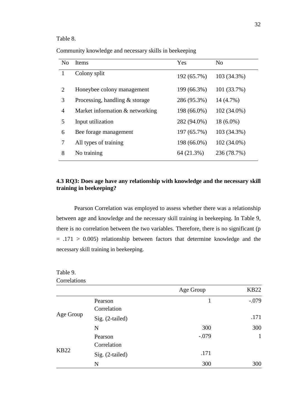### <span id="page-45-1"></span>Table 8.

Community knowledge and necessary skills in beekeeping

| No | Items                           | Yes         | N <sub>0</sub> |
|----|---------------------------------|-------------|----------------|
|    | Colony split                    | 192 (65.7%) | 103 (34.3%)    |
| 2  | Honeybee colony management      | 199 (66.3%) | 101 (33.7%)    |
| 3  | Processing, handling & storage  | 286 (95.3%) | 14 (4.7%)      |
| 4  | Market information & networking | 198 (66.0%) | 102 (34.0%)    |
| 5  | Input utilization               | 282 (94.0%) | $18(6.0\%)$    |
| 6  | Bee forage management           | 197 (65.7%) | 103 (34.3%)    |
| 7  | All types of training           | 198 (66.0%) | 102 (34.0%)    |
| 8  | No training                     | 64 (21.3%)  | 236 (78.7%)    |

## <span id="page-45-0"></span>**4.3 RQ3: Does age have any relationship with knowledge and the necessary skill training in beekeeping?**

Pearson Correlation was employed to assess whether there was a relationship between age and knowledge and the necessary skill training in beekeeping. In Table 9, there is no correlation between the two variables. Therefore, there is no significant (p  $= .171 > 0.005$ ) relationship between factors that determine knowledge and the necessary skill training in beekeeping.

#### <span id="page-45-2"></span>Table 9. Correlations

|  | Correlations |
|--|--------------|
|--|--------------|

|             |                 | Age Group | <b>KB22</b> |
|-------------|-----------------|-----------|-------------|
|             | Pearson         |           | $-.079$     |
|             | Correlation     |           |             |
| Age Group   | Sig. (2-tailed) |           | .171        |
|             | N               | 300       | 300         |
|             | Pearson         | $-.079$   | 1           |
|             | Correlation     |           |             |
| <b>KB22</b> | Sig. (2-tailed) | .171      |             |
|             | N               | 300       | 300         |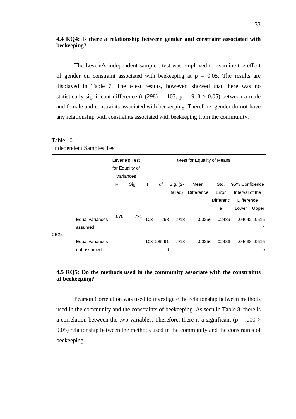### <span id="page-46-0"></span>**4.4 RQ4: Is there a relationship between gender and constraint associated with beekeeping?**

The Levene's independent sample t-test was employed to examine the effect of gender on constraint associated with beekeeping at  $p = 0.05$ . The results are displayed in Table 7. The t-test results, however, showed that there was no statistically significant difference (t (298) = .103,  $p = .918 > 0.05$ ) between a male and female and constraints associated with beekeeping. Therefore, gender do not have any relationship with constraints associated with beekeeping from the community.

|      |                 |      | Levene's Test   |      |             |          | t-test for Equality of Means |                  |                   |                |
|------|-----------------|------|-----------------|------|-------------|----------|------------------------------|------------------|-------------------|----------------|
|      |                 |      | for Equality of |      |             |          |                              |                  |                   |                |
|      |                 |      | Variances       |      |             |          |                              |                  |                   |                |
|      |                 | F    | Sig.            | t    | df          | Sig. (2- | Mean                         | Std.             | 95% Confidence    |                |
|      |                 |      |                 |      |             | tailed)  | <b>Difference</b>            | Error            | Interval of the   |                |
|      |                 |      |                 |      |             |          |                              | <b>Differenc</b> | <b>Difference</b> |                |
|      |                 |      |                 |      |             |          |                              | e                | Lower             | Upper          |
|      | Equal variances | .070 | .791            | .103 | 298         | .918     | .00256                       | .02489           | $-0.04642$ .0515  |                |
|      | assumed         |      |                 |      |             |          |                              |                  |                   | $\overline{4}$ |
| CB22 |                 |      |                 |      |             |          |                              |                  |                   |                |
|      | Equal variances |      |                 |      | .103 285.91 | .918     | .00256                       | .02486           | $-0.04638$ . 0515 |                |
|      | not assumed     |      |                 |      | 0           |          |                              |                  |                   | 0              |

<span id="page-46-2"></span>Table 10. Independent Samples Test

## <span id="page-46-1"></span>**4.5 RQ5: Do the methods used in the community associate with the constraints of beekeeping?**

Pearson Correlation was used to investigate the relationship between methods used in the community and the constraints of beekeeping. As seen in Table 8, there is a correlation between the two variables. Therefore, there is a significant ( $p = .000$ ) 0.05) relationship between the methods used in the community and the constraints of beekeeping.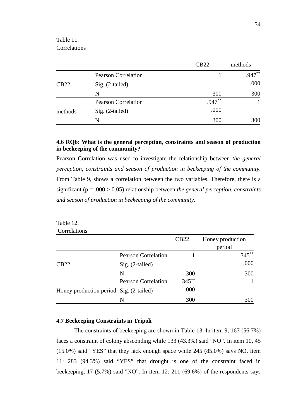<span id="page-47-2"></span>Table 11. **Correlations** 

|         |                            | CB22     | methods   |
|---------|----------------------------|----------|-----------|
|         | <b>Pearson Correlation</b> |          | $.947***$ |
| CB22    | $Sig. (2-tailed)$          |          | .000      |
|         | N                          | 300      | 300       |
|         | <b>Pearson Correlation</b> | $.947**$ |           |
| methods | $Sig. (2-tailed)$          | .000     |           |
|         | N                          | 300      | 300       |

## <span id="page-47-0"></span>**4.6 RQ6: What is the general perception, constraints and season of production in beekeeping of the community?**

Pearson Correlation was used to investigate the relationship between *the general perception, constraints and season of production in beekeeping of the community*. From Table 9, shows a correlation between the two variables. Therefore, there is a significant (p = .000 > 0.05) relationship between *the general perception, constraints and season of production in beekeeping of the community*.

<span id="page-47-3"></span>

| Table 12.                               |                            |             |                  |
|-----------------------------------------|----------------------------|-------------|------------------|
| Correlations                            |                            |             |                  |
|                                         |                            | <b>CB22</b> | Honey production |
|                                         |                            |             | period           |
|                                         | <b>Pearson Correlation</b> |             | $.345***$        |
| CB22                                    | $Sig. (2-tailed)$          |             | .000             |
|                                         | N                          | 300         | 300              |
|                                         | <b>Pearson Correlation</b> | $.345***$   |                  |
| Honey production period Sig. (2-tailed) |                            | .000        |                  |
|                                         | N                          | 300         | 300              |

### <span id="page-47-1"></span>**4.7 Beekeeping Constraints in Tripoli**

The constraints of beekeeping are shown in Table 13. In item 9, 167 (56.7%) faces a constraint of colony absconding while 133 (43.3%) said "NO". In item 10, 45 (15.0%) said "YES" that they lack enough space while 245 (85.0%) says NO, item 11: 283 (94.3%) said "YES" that drought is one of the constraint faced in beekeeping, 17 (5.7%) said "NO". In item 12: 211 (69.6%) of the respondents says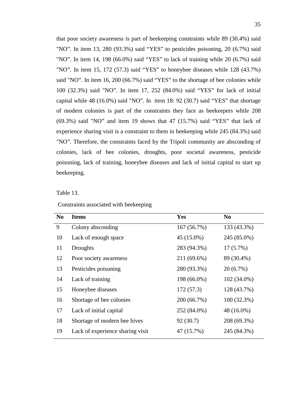that poor society awareness is part of beekeeping constraints while 89 (30.4%) said "NO". In item 13, 280 (93.3%) said "YES" to pesticides poisoning, 20 (6.7%) said "NO". In item 14, 198 (66.0%) said "YES" to lack of training while 20 (6.7%) said "NO". In item 15, 172 (57.3) said "YES" to honeybee diseases while 128 (43.7%) said "NO". In item 16, 200 (66.7%) said "YES" to the shortage of bee colonies while 100 (32.3%) said "NO". In item 17, 252 (84.0%) said "YES" for lack of initial capital while 48 (16.0%) said "NO". In item 18: 92 (30.7) said "YES" that shortage of modern colonies is part of the constraints they face as beekeepers while 208 (69.3%) said "NO" and item 19 shows that 47 (15.7%) said "YES" that lack of experience sharing visit is a constraint to them in beekeeping while 245 (84.3%) said "NO". Therefore, the constraints faced by the Tripoli community are absconding of colonies, lack of bee colonies, droughts, poor societal awareness, pesticide poisoning, lack of training, honeybee diseases and lack of initial capital to start up beekeeping.

<span id="page-48-0"></span>Table 13.

| Constraints associated with beekeeping |  |  |
|----------------------------------------|--|--|
|----------------------------------------|--|--|

| N <sub>0</sub> | <b>Items</b>                     | <b>Yes</b>  | N <sub>0</sub> |
|----------------|----------------------------------|-------------|----------------|
| 9              | Colony absconding                | 167 (56.7%) | 133 (43.3%)    |
| 10             | Lack of enough space             | 45 (15.0%)  | 245 (85.0%)    |
| 11             | Droughts                         | 283 (94.3%) | $17(5.7\%)$    |
| 12             | Poor society awareness           | 211 (69.6%) | 89 (30.4%)     |
| 13             | Pesticides poisoning             | 280 (93.3%) | 20(6.7%)       |
| 14             | Lack of training                 | 198 (66.0%) | 102 (34.0%)    |
| 15             | Honeybee diseases                | 172(57.3)   | 128 (43.7%)    |
| 16             | Shortage of bee colonies         | 200 (66.7%) | $100(32.3\%)$  |
| 17             | Lack of initial capital          | 252 (84.0%) | 48 (16.0%)     |
| 18             | Shortage of modern bee hives     | 92(30.7)    | 208 (69.3%)    |
| 19             | Lack of experience sharing visit | 47 (15.7%)  | 245 (84.3%)    |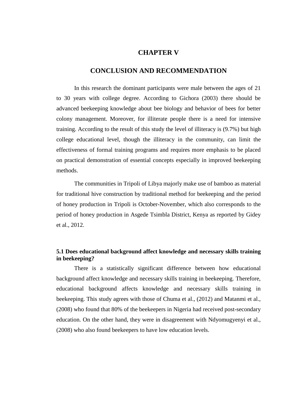## **CHAPTER V**

### **CONCLUSION AND RECOMMENDATION**

<span id="page-49-1"></span><span id="page-49-0"></span>In this research the dominant participants were male between the ages of 21 to 30 years with college degree. According to Gichora (2003) there should be advanced beekeeping knowledge about bee biology and behavior of bees for better colony management. Moreover, for illiterate people there is a need for intensive training. According to the result of this study the level of illiteracy is (9.7%) but high college educational level, though the illiteracy in the community, can limit the effectiveness of formal training programs and requires more emphasis to be placed on practical demonstration of essential concepts especially in improved beekeeping methods.

The communities in Tripoli of Libya majorly make use of bamboo as material for traditional hive construction by traditional method for beekeeping and the period of honey production in Tripoli is October-November, which also corresponds to the period of honey production in Asgede Tsimbla District, Kenya as reported by Gidey et al., 2012.

### <span id="page-49-2"></span>**5.1 Does educational background affect knowledge and necessary skills training in beekeeping?**

<span id="page-49-3"></span>There is a statistically significant difference between how educational background affect knowledge and necessary skills training in beekeeping. Therefore, educational background affects knowledge and necessary skills training in beekeeping. This study agrees with those of Chuma et al., (2012) and Matanmi et al., (2008) who found that 80% of the beekeepers in Nigeria had received post-secondary education. On the other hand, they were in disagreement with Ndyomugyenyi et al., (2008) who also found beekeepers to have low education levels.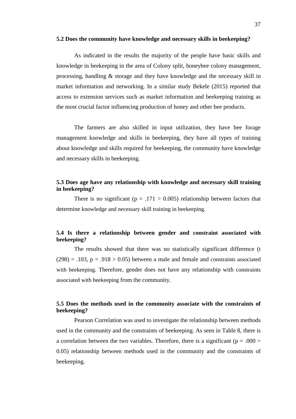#### **5.2 Does the community have knowledge and necessary skills in beekeeping?**

As indicated in the results the majority of the people have basic skills and knowledge in beekeeping in the area of Colony split, honeybee colony management, processing, handling & storage and they have knowledge and the necessary skill in market information and networking. In a similar study Bekele (2015) reported that access to extension services such as market information and beekeeping training as the most crucial factor influencing production of honey and other bee products.

The farmers are also skilled in input utilization, they have bee forage management knowledge and skills in beekeeping, they have all types of training about knowledge and skills required for beekeeping, the community have knowledge and necessary skills in beekeeping.

## <span id="page-50-0"></span>**5.3 Does age have any relationship with knowledge and necessary skill training in beekeeping?**

There is no significant ( $p = .171 > 0.005$ ) relationship between factors that determine knowledge and necessary skill training in beekeeping.

## <span id="page-50-1"></span>**5.4 Is there a relationship between gender and constraint associated with beekeeping?**

The results showed that there was no statistically significant difference (t  $(298) = .103$ ,  $p = .918 > 0.05$ ) between a male and female and constraints associated with beekeeping. Therefore, gender does not have any relationship with constraints associated with beekeeping from the community.

## <span id="page-50-2"></span>**5.5 Does the methods used in the community associate with the constraints of beekeeping?**

Pearson Correlation was used to investigate the relationship between methods used in the community and the constraints of beekeeping. As seen in Table 8, there is a correlation between the two variables. Therefore, there is a significant ( $p = .000$ ) 0.05) relationship between methods used in the community and the constraints of beekeeping.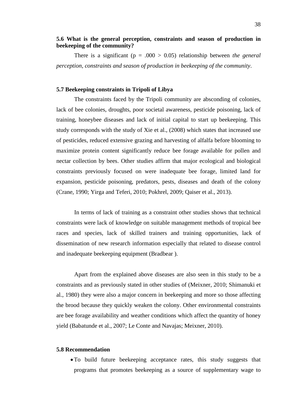## <span id="page-51-0"></span>**5.6 What is the general perception, constraints and season of production in beekeeping of the community?**

There is a significant ( $p = .000 > 0.05$ ) relationship between *the general perception, constraints and season of production in beekeeping of the community*.

#### <span id="page-51-1"></span>**5.7 Beekeeping constraints in Tripoli of Libya**

The constraints faced by the Tripoli community are absconding of colonies, lack of bee colonies, droughts, poor societal awareness, pesticide poisoning, lack of training, honeybee diseases and lack of initial capital to start up beekeeping. This study corresponds with the study of Xie et al., (2008) which states that increased use of pesticides, reduced extensive grazing and harvesting of alfalfa before blooming to maximize protein content significantly reduce bee forage available for pollen and nectar collection by bees. Other studies affirm that major ecological and biological constraints previously focused on were inadequate bee forage, limited land for expansion, pesticide poisoning, predators, pests, diseases and death of the colony (Crane, 1990; Yirga and Teferi, 2010; Pokhrel, 2009; Qaiser et al., 2013).

In terms of lack of training as a constraint other studies shows that technical constraints were lack of knowledge on suitable management methods of tropical bee races and species, lack of skilled trainers and training opportunities, lack of dissemination of new research information especially that related to disease control and inadequate beekeeping equipment (Bradbear ).

Apart from the explained above diseases are also seen in this study to be a constraints and as previously stated in other studies of (Meixner, 2010; Shimanuki et al., 1980) they were also a major concern in beekeeping and more so those affecting the brood because they quickly weaken the colony. Other environmental constraints are bee forage availability and weather conditions which affect the quantity of honey yield (Babatunde et al., 2007; Le Conte and Navajas; Meixner, 2010).

#### <span id="page-51-2"></span>**5.8 Recommendation**

•To build future beekeeping acceptance rates, this study suggests that programs that promotes beekeeping as a source of supplementary wage to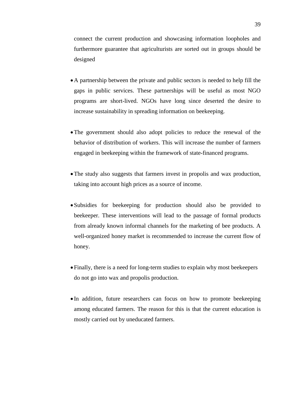connect the current production and showcasing information loopholes and furthermore guarantee that agriculturists are sorted out in groups should be designed

- •A partnership between the private and public sectors is needed to help fill the gaps in public services. These partnerships will be useful as most NGO programs are short-lived. NGOs have long since deserted the desire to increase sustainability in spreading information on beekeeping.
- •The government should also adopt policies to reduce the renewal of the behavior of distribution of workers. This will increase the number of farmers engaged in beekeeping within the framework of state-financed programs.
- •The study also suggests that farmers invest in propolis and wax production, taking into account high prices as a source of income.
- •Subsidies for beekeeping for production should also be provided to beekeeper. These interventions will lead to the passage of formal products from already known informal channels for the marketing of bee products. A well-organized honey market is recommended to increase the current flow of honey.
- •Finally, there is a need for long-term studies to explain why most beekeepers do not go into wax and propolis production.
- In addition, future researchers can focus on how to promote beekeeping among educated farmers. The reason for this is that the current education is mostly carried out by uneducated farmers.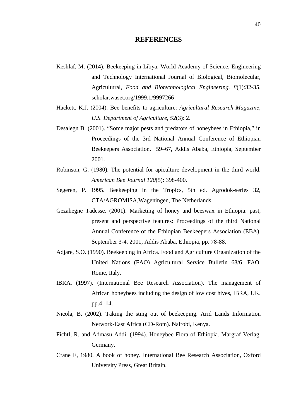#### **REFERENCES**

- <span id="page-53-0"></span>Keshlaf, M. (2014). Beekeeping in Libya. World Academy of Science, Engineering and Technology International Journal of Biological, Biomolecular, Agricultural, *Food and Biotechnological Engineering. 8*(1):32-35. scholar.waset.org/1999.1/9997266
- Hackett, K.J. (2004). Bee benefits to agriculture: *Agricultural Research Magazine, U.S. Department of Agriculture, 52*(3): 2.
- Desalegn B. (2001). "Some major pests and predators of honeybees in Ethiopia," in Proceedings of the 3rd National Annual Conference of Ethiopian Beekeepers Association. 59–67, Addis Ababa, Ethiopia, September 2001.
- Robinson, G. (1980). The potential for apiculture development in the third world. *American Bee Journal 120*(5): 398-400.
- Segeren, P. 1995. Beekeeping in the Tropics, 5th ed. Agrodok-series 32, CTA/AGROMISA,Wageningen, The Netherlands.
- Gezahegne Tadesse. (2001). Marketing of honey and beeswax in Ethiopia: past, present and perspective features: Proceedings of the third National Annual Conference of the Ethiopian Beekeepers Association (EBA), September 3-4, 2001, Addis Ababa, Ethiopia, pp. 78-88.
- Adjare, S.O. (1990). Beekeeping in Africa. Food and Agriculture Organization of the United Nations (FAO) Agricultural Service Bulletin 68/6. FAO, Rome, Italy.
- IBRA. (1997). (International Bee Research Association). The management of African honeybees including the design of low cost hives, IBRA, UK. pp.4 -14.
- Nicola, B. (2002). Taking the sting out of beekeeping. Arid Lands Information Network-East Africa (CD-Rom). Nairobi, Kenya.
- Fichtl, R. and Admasu Addi. (1994). Honeybee Flora of Ethiopia. Margraf Verlag, Germany.
- Crane E, 1980. A book of honey. International Bee Research Association, Oxford University Press, Great Britain.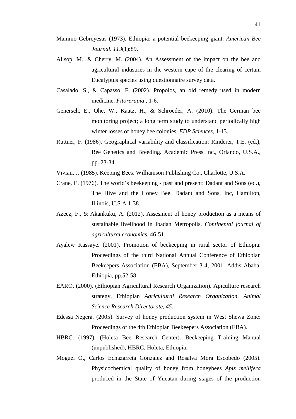- Mammo Gebreyesus (1973). Ethiopia: a potential beekeeping giant. *American Bee Journal. 113*(1):89.
- Allsop, M., & Cherry, M. (2004). An Assessment of the impact on the bee and agricultural industries in the western cape of the clearing of certain Eucalyptus species using questionnaire survey data.
- Casalado, S., & Capasso, F. (2002). Propolos, an old remedy used in modern medicine. *Fitorerapia* , 1-6.
- Genersch, E., Ohe, W., Kaatz, H., & Schroeder, A. (2010). The German bee monitoring project; a long term study to understand periodically high winter losses of honey bee colonies. *EDP Sciences*, 1-13.
- Ruttner, F. (1986). Geographical variability and classification: Rinderer, T.E. (ed.), Bee Genetics and Breeding. Academic Press Inc., Orlando, U.S.A., pp. 23-34.
- Vivian, J. (1985). Keeping Bees. Williamson Publishing Co., Charlotte, U.S.A.
- Crane, E. (1976). The world's beekeeping past and present: Dadant and Sons (ed.), The Hive and the Honey Bee. Dadant and Sons, Inc, Hamilton, Illinois, U.S.A.1-38.
- Azeez, F., & Akankuku, A. (2012). Assesment of honey production as a means of sustainable livelihood in Ibadan Metropolis. *Continental journal of agricultural economics*, 46-51.
- Ayalew Kassaye. (2001). Promotion of beekeeping in rural sector of Ethiopia: Proceedings of the third National Annual Conference of Ethiopian Beekeepers Association (EBA), September 3-4, 2001, Addis Ababa, Ethiopia, pp.52-58.
- EARO, (2000). (Ethiopian Agricultural Research Organization). Apiculture research strategy, Ethiopian *Agricultural Research Organization, Animal Science Research Directorate, 45.*
- Edessa Negera. (2005). Survey of honey production system in West Shewa Zone: Proceedings of the 4th Ethiopian Beekeepers Association (EBA).
- HBRC. (1997). (Holeta Bee Research Center). Beekeeping Training Manual (unpublished), HBRC, Holeta, Ethiopia.
- Moguel O., Carlos Echazarreta Gonzalez and Rosalva Mora Escobedo (2005). Physicochemical quality of honey from honeybees *Apis mellifera*  produced in the State of Yucatan during stages of the production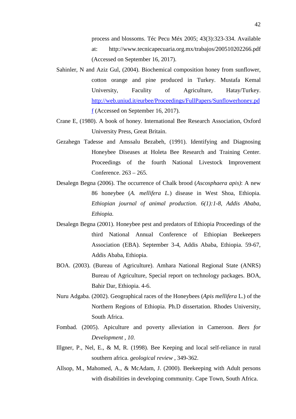process and blossoms. Téc Pecu Méx 2005; 43(3):323-334. Available at: http://www.tecnicapecuaria.org.mx/trabajos/200510202266.pdf (Accessed on September 16, 2017).

- Sahinler, N and Aziz Gul, (2004). Biochemical composition honey from sunflower, cotton orange and pine produced in Turkey. Mustafa Kemal University, Faculity of Agriculture, Hatay/Turkey. [http://web.uniud.it/eurbee/Proceedings/FullPapers/Sunflowerhoney.pd](http://web.uniud.it/eurbee/Proceedings/FullPapers/Sunflowerhoney.pdf)  $f$  (Accessed on September 16, 2017).
- Crane E, (1980). A book of honey. International Bee Research Association, Oxford University Press, Great Britain.
- Gezahegn Tadesse and Amssalu Bezabeh, (1991). Identifying and Diagnosing Honeybee Diseases at Holeta Bee Research and Training Center. Proceedings of the fourth National Livestock Improvement Conference. 263 – 265.
- Desalegn Begna (2006). The occurrence of Chalk brood (*Ascosphaera apis)*: A new 86 honeybee (*A. mellifera L.*) disease in West Shoa, Ethiopia. *Ethiopian journal of animal production. 6(1):1-8, Addis Ababa, Ethiopia.*
- Desalegn Begna (2001). Honeybee pest and predators of Ethiopia Proceedings of the third National Annual Conference of Ethiopian Beekeepers Association (EBA). September 3-4, Addis Ababa, Ethiopia. 59-67, Addis Ababa, Ethiopia.
- BOA. (2003). (Bureau of Agriculture). Amhara National Regional State (ANRS) Bureau of Agriculture, Special report on technology packages. BOA, Bahir Dar, Ethiopia. 4-6.
- Nuru Adgaba. (2002). Geographical races of the Honeybees (*Apis mellifera* L.) of the Northern Regions of Ethiopia. Ph.D dissertation. Rhodes University, South Africa.
- Fombad. (2005). Apiculture and poverty alleviation in Cameroon. *Bees for Development* , *10*.
- Illgner, P., Nel, E., & M, R. (1998). Bee Keeping and local self-reliance in rural southern africa. *geological review* , 349-362.
- Allsop, M., Mahomed, A., & McAdam, J. (2000). Beekeeping with Adult persons with disabilities in developing community. Cape Town, South Africa.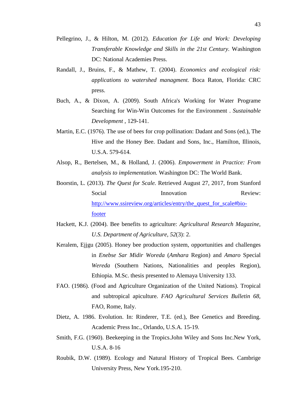- Pellegrino, J., & Hilton, M. (2012). *Education for Life and Work: Developing Transferable Knowledge and Skills in the 21st Century.* Washington DC: National Academies Press.
- Randall, J., Bruins, F., & Mathew, T. (2004). *Economics and ecological risk: applications to watershed managment.* Boca Raton, Florida: CRC press.
- Buch, A., & Dixon, A. (2009). South Africa's Working for Water Programe Searching for Win-Win Outcomes for the Environment . *Sustainable Development* , 129-141.
- Martin, E.C. (1976). The use of bees for crop pollination: Dadant and Sons (ed.), The Hive and the Honey Bee. Dadant and Sons, Inc., Hamilton, Illinois, U.S.A. 579-614.
- Alsop, R., Bertelsen, M., & Holland, J. (2006). *Empowerment in Practice: From analysis to implementation.* Washington DC: The World Bank.
- Boorstin, L. (2013). *The Quest for Scale.* Retrieved August 27, 2017, from Stanford Social Innovation Review: [http://www.ssireview.org/articles/entry/the\\_quest\\_for\\_scale#bio](http://www.ssireview.org/articles/entry/the_quest_for_scale#bio-footer)[footer](http://www.ssireview.org/articles/entry/the_quest_for_scale#bio-footer)
- Hackett, K.J. (2004). Bee benefits to agriculture: *Agricultural Research Magazine, U.S. Department of Agriculture, 52*(3): 2.
- Keralem, Ejjgu (2005). Honey bee production system, opportunities and challenges in *Enebse Sar Midir Woreda* (*Amhara* Region) and *Amaro* Special *Wereda* (Southern Nations, Nationalities and peoples Region), Ethiopia. M.Sc. thesis presented to Alemaya University 133.
- FAO. (1986). (Food and Agriculture Organization of the United Nations). Tropical and subtropical apiculture. *FAO Agricultural Services Bulletin 68,* FAO, Rome, Italy.
- Dietz, A. 1986. Evolution. In: Rinderer, T.E. (ed.), Bee Genetics and Breeding. Academic Press Inc., Orlando, U.S.A. 15-19.
- Smith, F.G. (1960). Beekeeping in the Tropics.John Wiley and Sons Inc.New York, U.S.A. 8-16
- Roubik, D.W. (1989). Ecology and Natural History of Tropical Bees. Cambrige University Press, New York.195-210.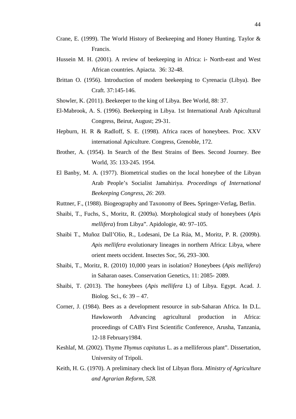- Crane, E. (1999). The World History of Beekeeping and Honey Hunting. Taylor & Francis.
- Hussein M. H. (2001). A review of beekeeping in Africa: i- North-east and West African countries. Apiacta. 36: 32-48.
- Brittan O. (1956). Introduction of modern beekeeping to Cyrenacia (Libya). Bee Craft. 37:145-146.
- Showler, K. (2011). Beekeeper to the king of Libya. Bee World, 88: 37.
- El-Mabrook, A. S. (1996). Beekeeping in Libya. 1st International Arab Apicultural Congress, Beirut, August; 29-31.
- Hepburn, H. R & Radloff, S. E. (1998). Africa races of honeybees. Proc. XXV international Apiculture. Congress, Grenoble, 172.
- Brother, A. (1954). In Search of the Best Strains of Bees. Second Journey. Bee World, 35: 133-245. 1954.
- El Banby, M. A. (1977). Biometrical studies on the local honeybee of the Libyan Arab People's Socialist Jamahiriya. *Proceedings of International Beekeeping Congress*, *26*: 269.
- Ruttner, F., (1988). Biogeography and Taxonomy of Bees*.* Springer-Verlag, Berlin.
- Shaibi, T., Fuchs, S., Moritz, R. (2009a). Morphological study of honeybees (*Apis mellifera*) from Libya". Apidologie, 40: 97–105.
- Shaibi T., Muñoz Dall'Olio, R., Lodesani, De La Rúa, M., Moritz, P. R. (2009b). *Apis mellifera* evolutionary lineages in northern Africa: Libya, where orient meets occident. Insectes Soc, 56, 293–300.
- Shaibi, T., Moritz, R. (2010) 10,000 years in isolation? Honeybees (*Apis mellifera*) in Saharan oases. Conservation Genetics, 11: 2085- 2089.
- Shaibi, T. (2013). The honeybees (*Apis mellifera* L) of Libya. Egypt. Acad. J. Biolog. Sci., 6: 39 – 47.
- Corner, J. (1984). Bees as a development resource in sub-Saharan Africa. In D.L. Hawksworth Advancing agricultural production in Africa: proceedings of CAB's First Scientific Conference, Arusha, Tanzania, 12-18 February1984.
- Keshlaf, M. (2002). Thyme *Thymus capitatus* L. as a melliferous plant". Dissertation, University of Tripoli.
- Keith, H. G. (1970). A preliminary check list of Libyan flora. *Ministry of Agriculture and Agrarian Reform, 528.*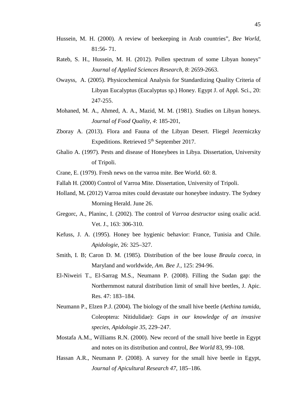- Hussein, M. H. (2000). A review of beekeeping in Arab countries", *Bee World*, 81:56- 71.
- Rateb, S. H., Hussein, M. H. (2012). Pollen spectrum of some Libyan honeys" *Journal of Applied Sciences Research, 8*: 2659-2663.
- Owayss, A. (2005). Physicochemical Analysis for Standardizing Quality Criteria of Libyan Eucalyptus (Eucalyptus sp.) Honey. Egypt J. of Appl. Sci., 20: 247-255.
- Mohaned, M. A., Ahmed, A. A., Mazid, M. M. (1981). Studies on Libyan honeys. *Journal of Food Quality*, *4*: 185-201,
- Zboray A. (2013). Flora and Fauna of the Libyan Desert. Fliegel Jezerniczky Expeditions. Retrieved 5<sup>th</sup> September 2017.
- Ghalio A. (1997). Pests and disease of Honeybees in Libya. Dissertation, University of Tripoli.

Crane, E. (1979). Fresh news on the varroa mite. Bee World. 60: 8.

Fallah H. (2000) Control of Varroa Mite. Dissertation, University of Tripoli.

- Holland, M**.** (2012) Varroa mites could devastate our honeybee industry. The Sydney Morning Herald. June 26.
- Gregorc, A., Planinc, I. (2002). The control of *Varroa destructor* using oxalic acid. Vet. J., 163: 306-310.
- Kefuss, J. A. (1995). Honey bee hygienic behavior: France, Tunisia and Chile. *Apidologie*, 26: 325–327.
- Smith, I. B; Caron D. M. (1985). Distribution of the bee louse *Braula coeca*, in Maryland and worldwide, *Am. Bee J.,* 125: 294-96.
- El-Niweiri T., El-Sarrag M.S., Neumann P. (2008). Filling the Sudan gap: the Northernmost natural distribution limit of small hive beetles, J. Apic. Res. 47: 183–184.
- Neumann P., Elzen P.J. (2004). The biology of the small hive beetle (*Aethina tumida*, Coleoptera: Nitidulidae): *Gaps in our knowledge of an invasive species, Apidologie 35*, 229–247.
- Mostafa A.M., Williams R.N. (2000). New record of the small hive beetle in Egypt and notes on its distribution and control, *Bee World* 83, 99–108.
- Hassan A.R., Neumann P. (2008). A survey for the small hive beetle in Egypt, *Journal of Apicultural Research 47*, 185–186.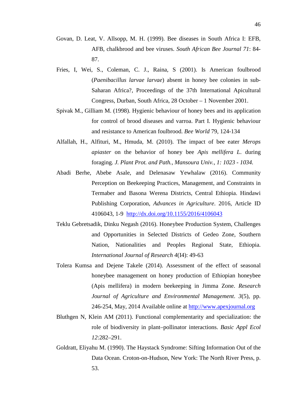- Govan, D. Leat, V. Allsopp, M. H. (1999). Bee diseases in South Africa I: EFB, AFB, chalkbrood and bee viruses. *South African Bee Journal 71*: 84- 87.
- Fries, I, Wei, S., Coleman, C. J., Raina, S (2001). Is American foulbrood (*Paenibacillus larvae larvae*) absent in honey bee colonies in sub-Saharan Africa?, Proceedings of the 37th International Apicultural Congress, Durban, South Africa, 28 October – 1 November 2001.
- Spivak M., Gilliam M. (1998). Hygienic behaviour of honey bees and its application for control of brood diseases and varroa. Part I. Hygienic behaviour and resistance to American foulbrood. *Bee World* 79, 124-134
- Alfallah, H., Alfituri, M., Hmuda, M. (2010). The impact of bee eater *Merops apiaster* on the behavior of honey bee *Apis mellifera L*. during foraging. *J. Plant Prot. and Path., Mansoura Univ., 1: 1023 - 1034.*
- Abadi Berhe, Abebe Asale, and Delenasaw Yewhalaw (2016). Community Perception on Beekeeping Practices, Management, and Constraints in Termaber and Basona Werena Districts, Central Ethiopia. Hindawi Publishing Corporation, *Advances in Agriculture*. 2016, Article ID 4106043, 1-9 <http://dx.doi.org/10.1155/2016/4106043>
- Teklu Gebretsadik, Dinku Negash (2016). Honeybee Production System, Challenges and Opportunities in Selected Districts of Gedeo Zone, Southern Nation, Nationalities and Peoples Regional State, Ethiopia. *International Journal of Research 4*(I4): 49-63
- Tolera Kumsa and Dejene Takele (2014). Assessment of the effect of seasonal honeybee management on honey production of Ethiopian honeybee (Apis mellifera) in modern beekeeping in Jimma Zone. *Research Journal of Agriculture and Environmental Management*. *3*(5), pp. 246-254, May, 2014 Available online at [http://www.apexjournal.org](http://www.apexjournal.org/)
- Bluthgen N, Klein AM (2011). Functional complementarity and specialization: the role of biodiversity in plant–pollinator interactions. *Basic Appl Ecol 12*:282–291.
- Goldratt, Eliyahu M. (1990). The Haystack Syndrome: Sifting Information Out of the Data Ocean. Croton-on-Hudson, New York: The North River Press, p. 53.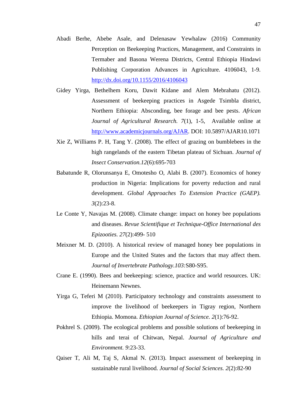- Abadi Berhe, Abebe Asale, and Delenasaw Yewhalaw (2016) Community Perception on Beekeeping Practices, Management, and Constraints in Termaber and Basona Werena Districts, Central Ethiopia Hindawi Publishing Corporation Advances in Agriculture. 4106043, 1-9. <http://dx.doi.org/10.1155/2016/4106043>
- Gidey Yirga, Bethelhem Koru, Dawit Kidane and Alem Mebrahatu (2012). Assessment of beekeeping practices in Asgede Tsimbla district, Northern Ethiopia: Absconding, bee forage and bee pests. *African Journal of Agricultural Research. 7*(1), 1-5, Available online at [http://www.academicjournals.org/AJAR.](http://www.academicjournals.org/AJAR) DOI: 10.5897/AJAR10.1071
- Xie Z, Williams P. H, Tang Y. (2008). The effect of grazing on bumblebees in the high rangelands of the eastern Tibetan plateau of Sichuan. *Journal of Insect Conservation.12*(6):695-703
- Babatunde R, Olorunsanya E, Omotesho O, Alabi B. (2007). Economics of honey production in Nigeria: Implications for poverty reduction and rural development. *Global Approaches To Extension Practice (GAEP). 3*(2):23-8.
- Le Conte Y, Navajas M. (2008). Climate change: impact on honey bee populations and diseases. *Revue Scientifique et Technique-Office International des Epizooties. 27*(2):499- 510
- Meixner M. D. (2010). A historical review of managed honey bee populations in Europe and the United States and the factors that may affect them. *Journal of Invertebrate Pathology.103:*S80-S95.
- Crane E. (1990). Bees and beekeeping: science, practice and world resources. UK: Heinemann Newnes.
- Yirga G, Teferi M (2010). Participatory technology and constraints assessment to improve the livelihood of beekeepers in Tigray region, Northern Ethiopia. Momona. *Ethiopian Journal of Science. 2*(1):76-92.
- Pokhrel S. (2009). The ecological problems and possible solutions of beekeeping in hills and terai of Chitwan, Nepal. *Journal of Agriculture and Environment. 9*:23-33.
- Qaiser T, Ali M, Taj S, Akmal N. (2013). Impact assessment of beekeeping in sustainable rural livelihood. *Journal of Social Sciences. 2*(2):82-90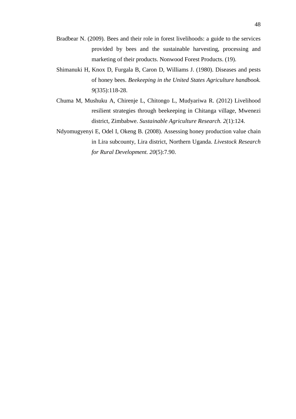- Bradbear N. (2009). Bees and their role in forest livelihoods: a guide to the services provided by bees and the sustainable harvesting, processing and marketing of their products. Nonwood Forest Products. (19).
- Shimanuki H, Knox D, Furgala B, Caron D, Williams J. (1980). Diseases and pests of honey bees. *Beekeeping in the United States Agriculture handbook. 9*(335):118-28.
- Chuma M, Mushuku A, Chirenje L, Chitongo L, Mudyariwa R. (2012) Livelihood resilient strategies through beekeeping in Chitanga village, Mwenezi district, Zimbabwe. *Sustainable Agriculture Research. 2*(1):124.
- Ndyomugyenyi E, Odel I, Okeng B. (2008). Assessing honey production value chain in Lira subcounty, Lira district, Northern Uganda. *Livestock Research for Rural Development. 20*(5):7.90.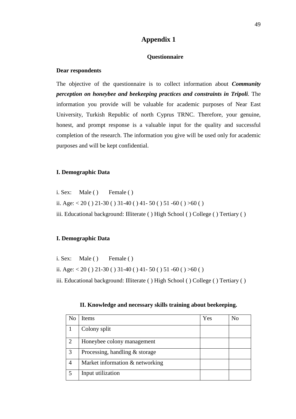## **Appendix 1**

#### **Questionnaire**

#### <span id="page-62-0"></span>**Dear respondents**

The objective of the questionnaire is to collect information about *Community perception on honeybee and beekeeping practices and constraints in Tripoli.* The information you provide will be valuable for academic purposes of Near East University, Turkish Republic of north Cyprus TRNC. Therefore, your genuine, honest, and prompt response is a valuable input for the quality and successful completion of the research. The information you give will be used only for academic purposes and will be kept confidential.

### **I. Demographic Data**

i. Sex: Male ( ) Female ( ) ii. Age: < 20 ( ) 21-30 ( ) 31-40 ( ) 41- 50 ( ) 51 -60 ( ) >60 ( ) iii. Educational background: Illiterate ( ) High School ( ) College ( ) Tertiary ( )

#### **I. Demographic Data**

i. Sex: Male ( ) Female ( ) ii. Age:  $< 20$  ( ) 21-30 ( ) 31-40 ( ) 41-50 ( ) 51-60 ( ) >60 ( ) iii. Educational background: Illiterate ( ) High School ( ) College ( ) Tertiary ( )

|  | II. Knowledge and necessary skills training about beekeeping. |  |  |
|--|---------------------------------------------------------------|--|--|
|  |                                                               |  |  |

| No             | <b>Items</b>                     | Yes | No |
|----------------|----------------------------------|-----|----|
|                | Colony split                     |     |    |
| $\overline{2}$ | Honeybee colony management       |     |    |
| 3              | Processing, handling $&$ storage |     |    |
| 4              | Market information & networking  |     |    |
|                | Input utilization                |     |    |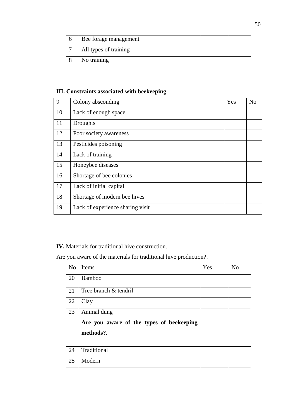| Bee forage management |  |
|-----------------------|--|
| All types of training |  |
| No training           |  |

## **III. Constraints associated with beekeeping**

| 9  | Colony absconding                | Yes | N <sub>o</sub> |
|----|----------------------------------|-----|----------------|
| 10 | Lack of enough space             |     |                |
| 11 | Droughts                         |     |                |
| 12 | Poor society awareness           |     |                |
| 13 | Pesticides poisoning             |     |                |
| 14 | Lack of training                 |     |                |
| 15 | Honeybee diseases                |     |                |
| 16 | Shortage of bee colonies         |     |                |
| 17 | Lack of initial capital          |     |                |
| 18 | Shortage of modern bee hives     |     |                |
| 19 | Lack of experience sharing visit |     |                |

**IV.** Materials for traditional hive construction.

Are you aware of the materials for traditional hive production?.

| N <sub>o</sub> | Items                                    | Yes | N <sub>o</sub> |
|----------------|------------------------------------------|-----|----------------|
| 20             | Bamboo                                   |     |                |
| 21             | Tree branch & tendril                    |     |                |
| 22             | Clay                                     |     |                |
| 23             | Animal dung                              |     |                |
|                | Are you aware of the types of beekeeping |     |                |
|                | methods?.                                |     |                |
| 24             | Traditional                              |     |                |
| 25             | Modern                                   |     |                |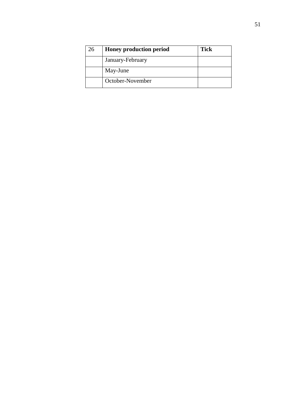| 26 | <b>Honey production period</b> | <b>Tick</b> |
|----|--------------------------------|-------------|
|    | January-February               |             |
|    | May-June                       |             |
|    | October-November               |             |